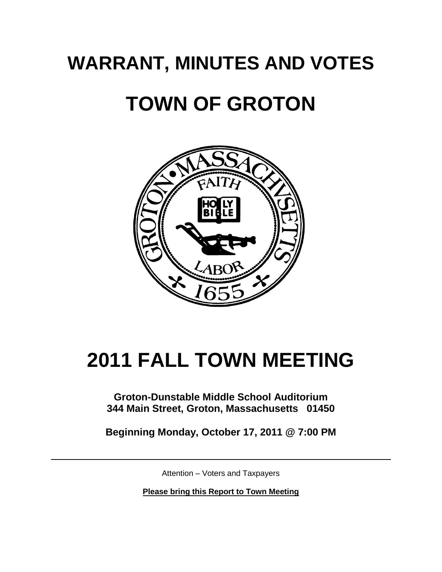# **WARRANT, MINUTES AND VOTES**

# **TOWN OF GROTON**



# **2011 FALL TOWN MEETING**

# **Groton-Dunstable Middle School Auditorium 344 Main Street, Groton, Massachusetts 01450**

**Beginning Monday, October 17, 2011 @ 7:00 PM**

Attention – Voters and Taxpayers

**Please bring this Report to Town Meeting**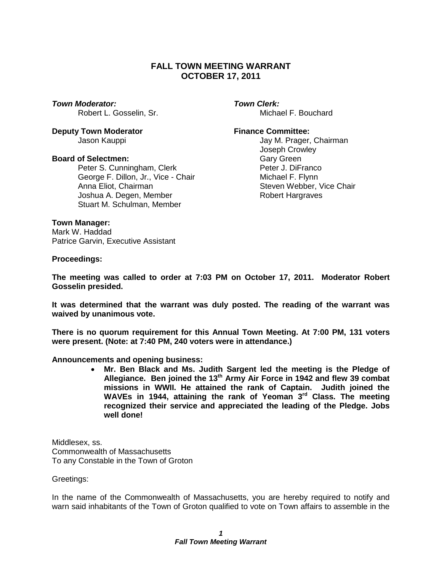# **FALL TOWN MEETING WARRANT OCTOBER 17, 2011**

#### *Town Moderator: Town Clerk:*

**Deputy Town Moderator <b>Finance Committee:** 

#### **Board of Selectmen:** Gary Green

Peter S. Cunningham, Clerk **Peter J. DiFranco** George F. Dillon, Jr., Vice - Chair **Michael F. Flynn** Anna Eliot, Chairman Steven Webber, Vice Chair Joshua A. Degen, Member Robert Hargraves Stuart M. Schulman, Member

Robert L. Gosselin, Sr. Michael F. Bouchard

Jason Kauppi Jay M. Prager, Chairman Joseph Crowley

#### **Town Manager:**

Mark W. Haddad Patrice Garvin, Executive Assistant

#### **Proceedings:**

**The meeting was called to order at 7:03 PM on October 17, 2011. Moderator Robert Gosselin presided.**

**It was determined that the warrant was duly posted. The reading of the warrant was waived by unanimous vote.**

**There is no quorum requirement for this Annual Town Meeting. At 7:00 PM, 131 voters were present. (Note: at 7:40 PM, 240 voters were in attendance.)**

#### **Announcements and opening business:**

 **Mr. Ben Black and Ms. Judith Sargent led the meeting is the Pledge of Allegiance. Ben joined the 13th Army Air Force in 1942 and flew 39 combat missions in WWII. He attained the rank of Captain. Judith joined the WAVEs in 1944, attaining the rank of Yeoman 3rd Class. The meeting recognized their service and appreciated the leading of the Pledge. Jobs well done!**

Middlesex, ss. Commonwealth of Massachusetts To any Constable in the Town of Groton

Greetings:

In the name of the Commonwealth of Massachusetts, you are hereby required to notify and warn said inhabitants of the Town of Groton qualified to vote on Town affairs to assemble in the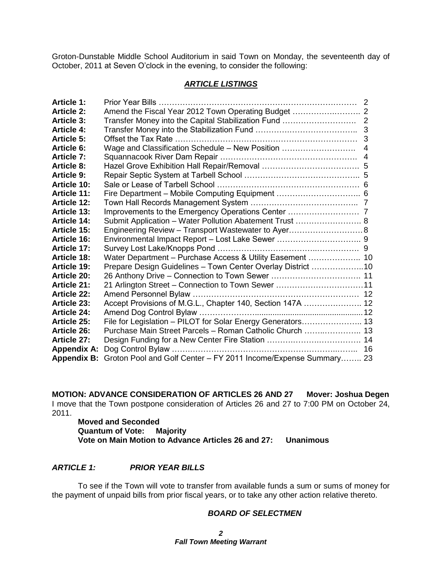Groton-Dunstable Middle School Auditorium in said Town on Monday, the seventeenth day of October, 2011 at Seven O'clock in the evening, to consider the following:

### *ARTICLE LISTINGS*

| <b>Article 1:</b>  |                                                                 |                |
|--------------------|-----------------------------------------------------------------|----------------|
| <b>Article 2:</b>  |                                                                 |                |
| <b>Article 3:</b>  |                                                                 |                |
| <b>Article 4:</b>  |                                                                 |                |
| <b>Article 5:</b>  |                                                                 |                |
| <b>Article 6:</b>  | Wage and Classification Schedule - New Position                 | $\overline{4}$ |
| <b>Article 7:</b>  |                                                                 |                |
| <b>Article 8:</b>  |                                                                 |                |
| <b>Article 9:</b>  |                                                                 |                |
| <b>Article 10:</b> |                                                                 |                |
| <b>Article 11:</b> |                                                                 |                |
| <b>Article 12:</b> |                                                                 |                |
| <b>Article 13:</b> |                                                                 |                |
| <b>Article 14:</b> | Submit Application - Water Pollution Abatement Trust  8         |                |
| <b>Article 15:</b> | Engineering Review - Transport Wastewater to Ayer 8             |                |
| <b>Article 16:</b> |                                                                 |                |
| <b>Article 17:</b> |                                                                 |                |
| <b>Article 18:</b> | Water Department - Purchase Access & Utility Easement  10       |                |
| <b>Article 19:</b> | Prepare Design Guidelines - Town Center Overlay District 10     |                |
| <b>Article 20:</b> |                                                                 |                |
| <b>Article 21:</b> | 21 Arlington Street – Connection to Town Sewer 11               |                |
| <b>Article 22:</b> |                                                                 |                |
| <b>Article 23:</b> | Accept Provisions of M.G.L., Chapter 140, Section 147A  12      |                |
| <b>Article 24:</b> |                                                                 |                |
| <b>Article 25:</b> | File for Legislation - PILOT for Solar Energy Generators 13     |                |
| <b>Article 26:</b> | Purchase Main Street Parcels - Roman Catholic Church  13        |                |
| <b>Article 27:</b> |                                                                 |                |
| <b>Appendix A:</b> |                                                                 |                |
| <b>Appendix B:</b> | Groton Pool and Golf Center - FY 2011 Income/Expense Summary 23 |                |

**MOTION: ADVANCE CONSIDERATION OF ARTICLES 26 AND 27 Mover: Joshua Degen** I move that the Town postpone consideration of Articles 26 and 27 to 7:00 PM on October 24, 2011.

**Moved and Seconded Quantum of Vote: Majority Vote on Main Motion to Advance Articles 26 and 27: Unanimous**

#### *ARTICLE 1: PRIOR YEAR BILLS*

To see if the Town will vote to transfer from available funds a sum or sums of money for the payment of unpaid bills from prior fiscal years, or to take any other action relative thereto.

#### *BOARD OF SELECTMEN*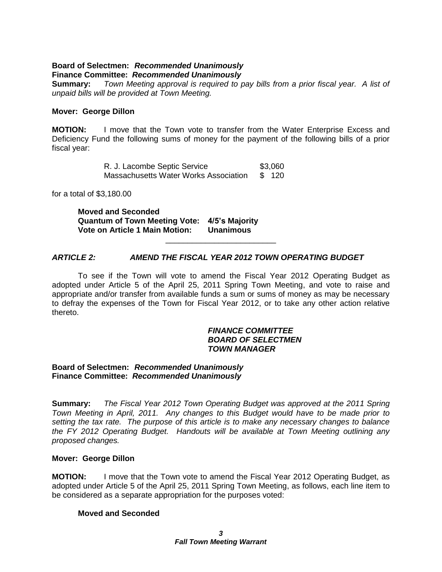#### **Board of Selectmen:** *Recommended Unanimously* **Finance Committee:** *Recommended Unanimously*

**Summary:** *Town Meeting approval is required to pay bills from a prior fiscal year. A list of unpaid bills will be provided at Town Meeting.*

#### **Mover: George Dillon**

**MOTION:** I move that the Town vote to transfer from the Water Enterprise Excess and Deficiency Fund the following sums of money for the payment of the following bills of a prior fiscal year:

> R. J. Lacombe Septic Service \$3,060 Massachusetts Water Works Association \$ 120

for a total of \$3,180.00

**Moved and Seconded Quantum of Town Meeting Vote: 4/5's Majority Vote on Article 1 Main Motion: Unanimous**

# *ARTICLE 2: AMEND THE FISCAL YEAR 2012 TOWN OPERATING BUDGET*

To see if the Town will vote to amend the Fiscal Year 2012 Operating Budget as adopted under Article 5 of the April 25, 2011 Spring Town Meeting, and vote to raise and appropriate and/or transfer from available funds a sum or sums of money as may be necessary to defray the expenses of the Town for Fiscal Year 2012, or to take any other action relative thereto.

\_\_\_\_\_\_\_\_\_\_\_\_\_\_\_\_\_\_\_\_\_\_\_\_\_

#### *FINANCE COMMITTEE BOARD OF SELECTMEN TOWN MANAGER*

#### **Board of Selectmen:** *Recommended Unanimously* **Finance Committee:** *Recommended Unanimously*

**Summary:** *The Fiscal Year 2012 Town Operating Budget was approved at the 2011 Spring Town Meeting in April, 2011. Any changes to this Budget would have to be made prior to setting the tax rate. The purpose of this article is to make any necessary changes to balance the FY 2012 Operating Budget. Handouts will be available at Town Meeting outlining any proposed changes.*

#### **Mover: George Dillon**

**MOTION:** I move that the Town vote to amend the Fiscal Year 2012 Operating Budget, as adopted under Article 5 of the April 25, 2011 Spring Town Meeting, as follows, each line item to be considered as a separate appropriation for the purposes voted:

# **Moved and Seconded**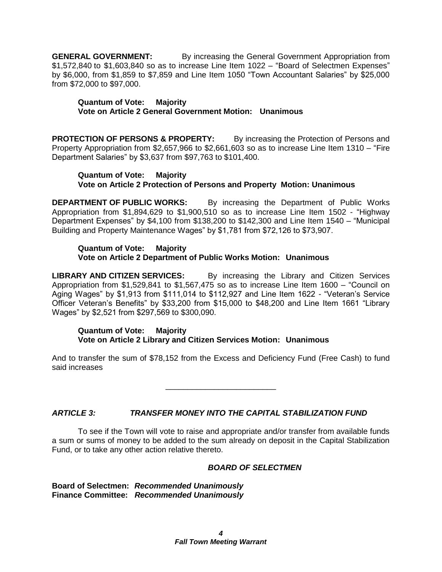**GENERAL GOVERNMENT:** By increasing the General Government Appropriation from \$1,572,840 to \$1,603,840 so as to increase Line Item 1022 – "Board of Selectmen Expenses" by \$6,000, from \$1,859 to \$7,859 and Line Item 1050 "Town Accountant Salaries" by \$25,000 from \$72,000 to \$97,000.

**Quantum of Vote: Majority Vote on Article 2 General Government Motion: Unanimous**

**PROTECTION OF PERSONS & PROPERTY:** By increasing the Protection of Persons and Property Appropriation from \$2,657,966 to \$2,661,603 so as to increase Line Item 1310 – "Fire Department Salaries" by \$3,637 from \$97,763 to \$101,400.

#### **Quantum of Vote: Majority Vote on Article 2 Protection of Persons and Property Motion: Unanimous**

**DEPARTMENT OF PUBLIC WORKS:** By increasing the Department of Public Works Appropriation from \$1,894,629 to \$1,900,510 so as to increase Line Item 1502 - "Highway Department Expenses" by \$4,100 from \$138,200 to \$142,300 and Line Item 1540 – "Municipal Building and Property Maintenance Wages" by \$1,781 from \$72,126 to \$73,907.

#### **Quantum of Vote: Majority Vote on Article 2 Department of Public Works Motion: Unanimous**

**LIBRARY AND CITIZEN SERVICES:** By increasing the Library and Citizen Services Appropriation from \$1,529,841 to \$1,567,475 so as to increase Line Item 1600 – "Council on Aging Wages" by \$1,913 from \$111,014 to \$112,927 and Line Item 1622 - "Veteran's Service Officer Veteran's Benefits" by \$33,200 from \$15,000 to \$48,200 and Line Item 1661 "Library Wages" by \$2,521 from \$297,569 to \$300,090.

#### **Quantum of Vote: Majority Vote on Article 2 Library and Citizen Services Motion: Unanimous**

And to transfer the sum of \$78,152 from the Excess and Deficiency Fund (Free Cash) to fund said increases

\_\_\_\_\_\_\_\_\_\_\_\_\_\_\_\_\_\_\_\_\_\_\_\_\_

# *ARTICLE 3: TRANSFER MONEY INTO THE CAPITAL STABILIZATION FUND*

To see if the Town will vote to raise and appropriate and/or transfer from available funds a sum or sums of money to be added to the sum already on deposit in the Capital Stabilization Fund, or to take any other action relative thereto.

# *BOARD OF SELECTMEN*

**Board of Selectmen:** *Recommended Unanimously* **Finance Committee:** *Recommended Unanimously*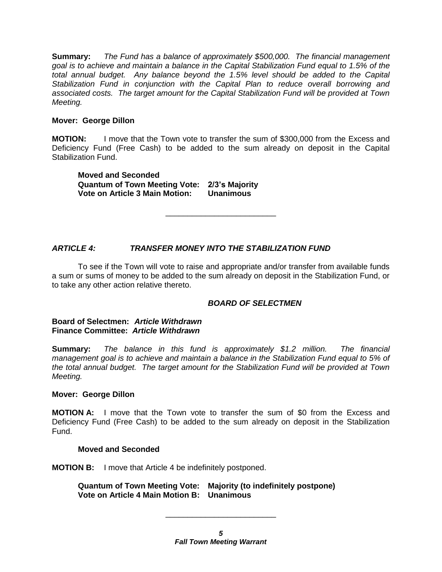**Summary:** *The Fund has a balance of approximately \$500,000. The financial management goal is to achieve and maintain a balance in the Capital Stabilization Fund equal to 1.5% of the total annual budget. Any balance beyond the 1.5% level should be added to the Capital Stabilization Fund in conjunction with the Capital Plan to reduce overall borrowing and associated costs. The target amount for the Capital Stabilization Fund will be provided at Town Meeting.*

#### **Mover: George Dillon**

**MOTION:** I move that the Town vote to transfer the sum of \$300,000 from the Excess and Deficiency Fund (Free Cash) to be added to the sum already on deposit in the Capital Stabilization Fund.

**Moved and Seconded Quantum of Town Meeting Vote: 2/3's Majority Vote on Article 3 Main Motion: Unanimous**

# *ARTICLE 4: TRANSFER MONEY INTO THE STABILIZATION FUND*

To see if the Town will vote to raise and appropriate and/or transfer from available funds a sum or sums of money to be added to the sum already on deposit in the Stabilization Fund, or to take any other action relative thereto.

\_\_\_\_\_\_\_\_\_\_\_\_\_\_\_\_\_\_\_\_\_\_\_\_\_

# *BOARD OF SELECTMEN*

#### **Board of Selectmen:** *Article Withdrawn* **Finance Committee:** *Article Withdrawn*

**Summary:** *The balance in this fund is approximately \$1.2 million. The financial management goal is to achieve and maintain a balance in the Stabilization Fund equal to 5% of the total annual budget. The target amount for the Stabilization Fund will be provided at Town Meeting.*

#### **Mover: George Dillon**

**MOTION A:** I move that the Town vote to transfer the sum of \$0 from the Excess and Deficiency Fund (Free Cash) to be added to the sum already on deposit in the Stabilization Fund.

#### **Moved and Seconded**

**MOTION B:** I move that Article 4 be indefinitely postponed.

**Quantum of Town Meeting Vote: Majority (to indefinitely postpone) Vote on Article 4 Main Motion B: Unanimous**

\_\_\_\_\_\_\_\_\_\_\_\_\_\_\_\_\_\_\_\_\_\_\_\_\_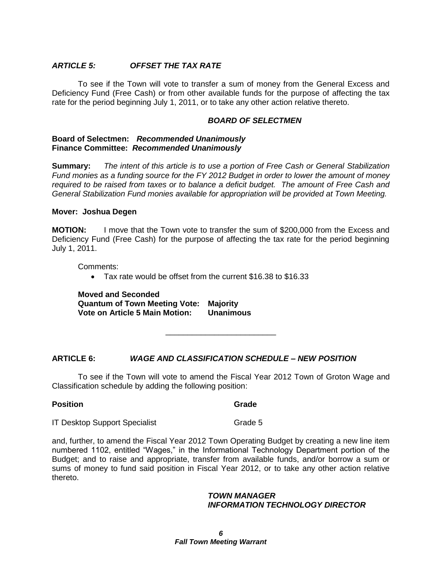### *ARTICLE 5: OFFSET THE TAX RATE*

To see if the Town will vote to transfer a sum of money from the General Excess and Deficiency Fund (Free Cash) or from other available funds for the purpose of affecting the tax rate for the period beginning July 1, 2011, or to take any other action relative thereto.

#### *BOARD OF SELECTMEN*

#### **Board of Selectmen:** *Recommended Unanimously* **Finance Committee:** *Recommended Unanimously*

**Summary:** *The intent of this article is to use a portion of Free Cash or General Stabilization Fund monies as a funding source for the FY 2012 Budget in order to lower the amount of money required to be raised from taxes or to balance a deficit budget. The amount of Free Cash and General Stabilization Fund monies available for appropriation will be provided at Town Meeting.*

#### **Mover: Joshua Degen**

**MOTION:** I move that the Town vote to transfer the sum of \$200,000 from the Excess and Deficiency Fund (Free Cash) for the purpose of affecting the tax rate for the period beginning July 1, 2011.

Comments:

Tax rate would be offset from the current \$16.38 to \$16.33

**Moved and Seconded Quantum of Town Meeting Vote: Majority Vote on Article 5 Main Motion: Unanimous**

# **ARTICLE 6:** *WAGE AND CLASSIFICATION SCHEDULE – NEW POSITION*

To see if the Town will vote to amend the Fiscal Year 2012 Town of Groton Wage and Classification schedule by adding the following position:

\_\_\_\_\_\_\_\_\_\_\_\_\_\_\_\_\_\_\_\_\_\_\_\_\_

#### **Position** Grade

**IT Desktop Support Specialist** Grade 5

and, further, to amend the Fiscal Year 2012 Town Operating Budget by creating a new line item numbered 1102, entitled "Wages," in the Informational Technology Department portion of the Budget; and to raise and appropriate, transfer from available funds, and/or borrow a sum or sums of money to fund said position in Fiscal Year 2012, or to take any other action relative thereto.

#### *TOWN MANAGER INFORMATION TECHNOLOGY DIRECTOR*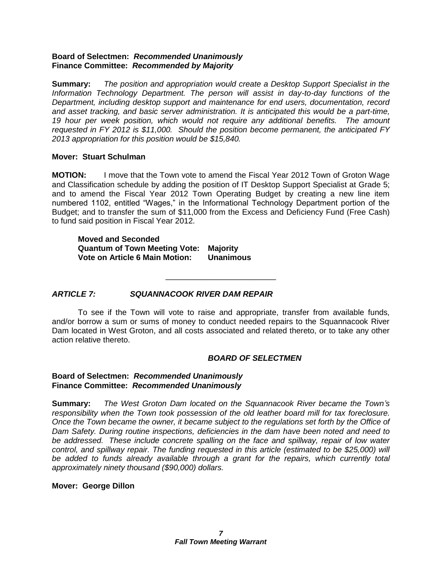#### **Board of Selectmen:** *Recommended Unanimously* **Finance Committee:** *Recommended by Majority*

**Summary:** *The position and appropriation would create a Desktop Support Specialist in the Information Technology Department. The person will assist in day-to-day functions of the Department, including desktop support and maintenance for end users, documentation, record and asset tracking, and basic server administration. It is anticipated this would be a part-time, 19 hour per week position, which would not require any additional benefits. The amount requested in FY 2012 is \$11,000. Should the position become permanent, the anticipated FY 2013 appropriation for this position would be \$15,840.*

# **Mover: Stuart Schulman**

**MOTION:** I move that the Town vote to amend the Fiscal Year 2012 Town of Groton Wage and Classification schedule by adding the position of IT Desktop Support Specialist at Grade 5; and to amend the Fiscal Year 2012 Town Operating Budget by creating a new line item numbered 1102, entitled "Wages," in the Informational Technology Department portion of the Budget; and to transfer the sum of \$11,000 from the Excess and Deficiency Fund (Free Cash) to fund said position in Fiscal Year 2012.

**Moved and Seconded Quantum of Town Meeting Vote: Majority Vote on Article 6 Main Motion: Unanimous**

# *ARTICLE 7: SQUANNACOOK RIVER DAM REPAIR*

To see if the Town will vote to raise and appropriate, transfer from available funds, and/or borrow a sum or sums of money to conduct needed repairs to the Squannacook River Dam located in West Groton, and all costs associated and related thereto, or to take any other action relative thereto.

\_\_\_\_\_\_\_\_\_\_\_\_\_\_\_\_\_\_\_\_\_\_\_\_\_

# *BOARD OF SELECTMEN*

#### **Board of Selectmen:** *Recommended Unanimously* **Finance Committee:** *Recommended Unanimously*

**Summary:** *The West Groton Dam located on the Squannacook River became the Town's responsibility when the Town took possession of the old leather board mill for tax foreclosure. Once the Town became the owner, it became subject to the regulations set forth by the Office of Dam Safety. During routine inspections, deficiencies in the dam have been noted and need to be addressed. These include concrete spalling on the face and spillway, repair of low water control, and spillway repair. The funding requested in this article (estimated to be \$25,000) will be added to funds already available through a grant for the repairs, which currently total approximately ninety thousand (\$90,000) dollars.*

#### **Mover: George Dillon**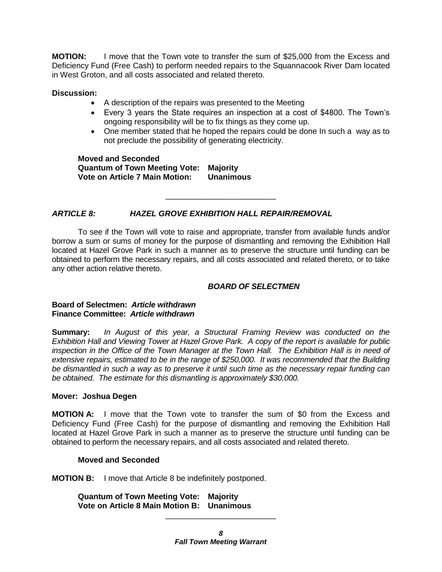**MOTION:** I move that the Town vote to transfer the sum of \$25,000 from the Excess and Deficiency Fund (Free Cash) to perform needed repairs to the Squannacook River Dam located in West Groton, and all costs associated and related thereto.

#### **Discussion:**

- A description of the repairs was presented to the Meeting
- Every 3 years the State requires an inspection at a cost of \$4800. The Town's ongoing responsibility will be to fix things as they come up.
- One member stated that he hoped the repairs could be done In such a way as to not preclude the possibility of generating electricity.

**Moved and Seconded Quantum of Town Meeting Vote: Majority Vote on Article 7 Main Motion: Unanimous**

# *ARTICLE 8: HAZEL GROVE EXHIBITION HALL REPAIR/REMOVAL*

To see if the Town will vote to raise and appropriate, transfer from available funds and/or borrow a sum or sums of money for the purpose of dismantling and removing the Exhibition Hall located at Hazel Grove Park in such a manner as to preserve the structure until funding can be obtained to perform the necessary repairs, and all costs associated and related thereto, or to take any other action relative thereto.

\_\_\_\_\_\_\_\_\_\_\_\_\_\_\_\_\_\_\_\_\_\_\_\_\_

### *BOARD OF SELECTMEN*

#### **Board of Selectmen:** *Article withdrawn* **Finance Committee:** *Article withdrawn*

**Summary:** *In August of this year, a Structural Framing Review was conducted on the Exhibition Hall and Viewing Tower at Hazel Grove Park. A copy of the report is available for public inspection in the Office of the Town Manager at the Town Hall. The Exhibition Hall is in need of extensive repairs, estimated to be in the range of \$250,000. It was recommended that the Building be dismantled in such a way as to preserve it until such time as the necessary repair funding can be obtained. The estimate for this dismantling is approximately \$30,000.*

#### **Mover: Joshua Degen**

**MOTION A:** I move that the Town vote to transfer the sum of \$0 from the Excess and Deficiency Fund (Free Cash) for the purpose of dismantling and removing the Exhibition Hall located at Hazel Grove Park in such a manner as to preserve the structure until funding can be obtained to perform the necessary repairs, and all costs associated and related thereto.

# **Moved and Seconded**

**MOTION B:** I move that Article 8 be indefinitely postponed.

**Quantum of Town Meeting Vote: Majority Vote on Article 8 Main Motion B: Unanimous**

\_\_\_\_\_\_\_\_\_\_\_\_\_\_\_\_\_\_\_\_\_\_\_\_\_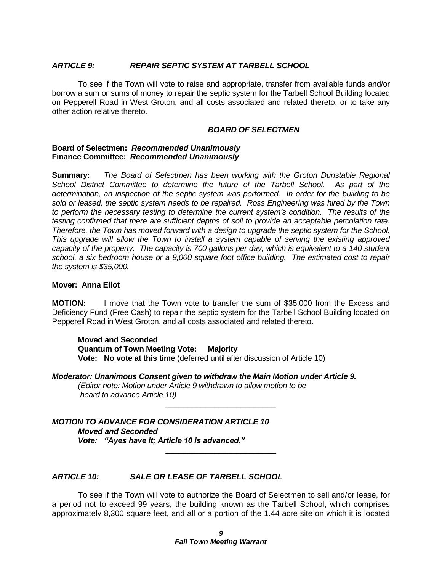#### *ARTICLE 9: REPAIR SEPTIC SYSTEM AT TARBELL SCHOOL*

To see if the Town will vote to raise and appropriate, transfer from available funds and/or borrow a sum or sums of money to repair the septic system for the Tarbell School Building located on Pepperell Road in West Groton, and all costs associated and related thereto, or to take any other action relative thereto.

#### *BOARD OF SELECTMEN*

#### **Board of Selectmen:** *Recommended Unanimously* **Finance Committee:** *Recommended Unanimously*

**Summary:** *The Board of Selectmen has been working with the Groton Dunstable Regional School District Committee to determine the future of the Tarbell School. As part of the determination, an inspection of the septic system was performed. In order for the building to be sold or leased, the septic system needs to be repaired. Ross Engineering was hired by the Town to perform the necessary testing to determine the current system's condition. The results of the testing confirmed that there are sufficient depths of soil to provide an acceptable percolation rate. Therefore, the Town has moved forward with a design to upgrade the septic system for the School. This upgrade will allow the Town to install a system capable of serving the existing approved capacity of the property. The capacity is 700 gallons per day, which is equivalent to a 140 student school, a six bedroom house or a 9,000 square foot office building. The estimated cost to repair the system is \$35,000.*

#### **Mover: Anna Eliot**

**MOTION:** I move that the Town vote to transfer the sum of \$35,000 from the Excess and Deficiency Fund (Free Cash) to repair the septic system for the Tarbell School Building located on Pepperell Road in West Groton, and all costs associated and related thereto.

\_\_\_\_\_\_\_\_\_\_\_\_\_\_\_\_\_\_\_\_\_\_\_\_\_

\_\_\_\_\_\_\_\_\_\_\_\_\_\_\_\_\_\_\_\_\_\_\_\_\_

**Moved and Seconded Quantum of Town Meeting Vote: Majority Vote: No vote at this time** (deferred until after discussion of Article 10)

#### *Moderator: Unanimous Consent given to withdraw the Main Motion under Article 9. (Editor note: Motion under Article 9 withdrawn to allow motion to be heard to advance Article 10)*

*MOTION TO ADVANCE FOR CONSIDERATION ARTICLE 10 Moved and Seconded Vote: "Ayes have it; Article 10 is advanced."*

# *ARTICLE 10: SALE OR LEASE OF TARBELL SCHOOL*

To see if the Town will vote to authorize the Board of Selectmen to sell and/or lease, for a period not to exceed 99 years, the building known as the Tarbell School, which comprises approximately 8,300 square feet, and all or a portion of the 1.44 acre site on which it is located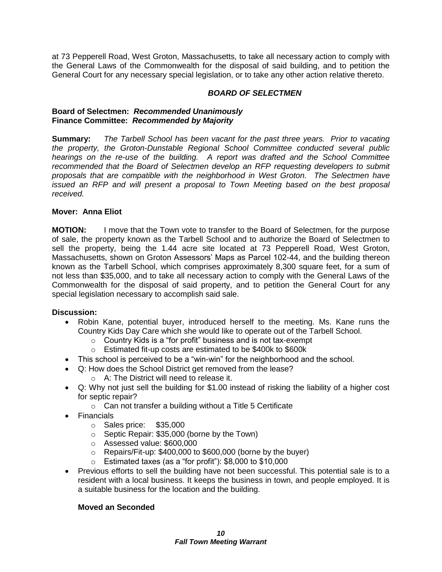at 73 Pepperell Road, West Groton, Massachusetts, to take all necessary action to comply with the General Laws of the Commonwealth for the disposal of said building, and to petition the General Court for any necessary special legislation, or to take any other action relative thereto.

### *BOARD OF SELECTMEN*

#### **Board of Selectmen:** *Recommended Unanimously* **Finance Committee:** *Recommended by Majority*

**Summary:** *The Tarbell School has been vacant for the past three years. Prior to vacating the property, the Groton-Dunstable Regional School Committee conducted several public hearings on the re-use of the building. A report was drafted and the School Committee recommended that the Board of Selectmen develop an RFP requesting developers to submit proposals that are compatible with the neighborhood in West Groton. The Selectmen have issued an RFP and will present a proposal to Town Meeting based on the best proposal received.*

#### **Mover: Anna Eliot**

**MOTION:** I move that the Town vote to transfer to the Board of Selectmen, for the purpose of sale, the property known as the Tarbell School and to authorize the Board of Selectmen to sell the property, being the 1.44 acre site located at 73 Pepperell Road, West Groton, Massachusetts, shown on Groton Assessors' Maps as Parcel 102-44, and the building thereon known as the Tarbell School, which comprises approximately 8,300 square feet, for a sum of not less than \$35,000, and to take all necessary action to comply with the General Laws of the Commonwealth for the disposal of said property, and to petition the General Court for any special legislation necessary to accomplish said sale.

#### **Discussion:**

- Robin Kane, potential buyer, introduced herself to the meeting. Ms. Kane runs the Country Kids Day Care which she would like to operate out of the Tarbell School.
	- o Country Kids is a "for profit" business and is not tax-exempt
	- o Estimated fit-up costs are estimated to be \$400k to \$600k
- This school is perceived to be a "win-win" for the neighborhood and the school.
- Q: How does the School District get removed from the lease?
	- o A: The District will need to release it.
- Q: Why not just sell the building for \$1.00 instead of risking the liability of a higher cost for septic repair?
	- o Can not transfer a building without a Title 5 Certificate
- Financials
	- o Sales price: \$35,000
	- o Septic Repair: \$35,000 (borne by the Town)
	- o Assessed value: \$600,000
	- o Repairs/Fit-up: \$400,000 to \$600,000 (borne by the buyer)
	- o Estimated taxes (as a "for profit"): \$8,000 to \$10,000
- Previous efforts to sell the building have not been successful. This potential sale is to a resident with a local business. It keeps the business in town, and people employed. It is a suitable business for the location and the building.

# **Moved an Seconded**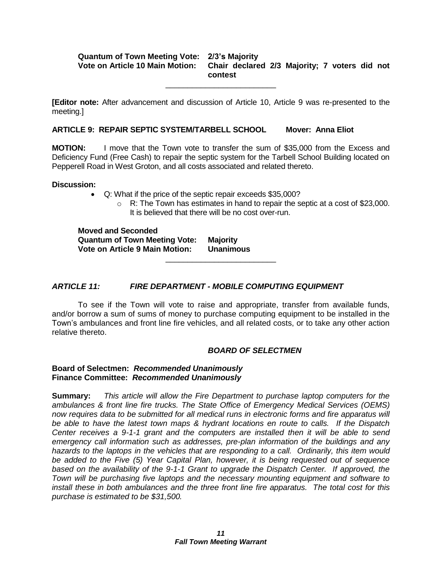#### **Quantum of Town Meeting Vote: 2/3's Majority Vote on Article 10 Main Motion: Chair declared 2/3 Majority; 7 voters did not contest**

**[Editor note:** After advancement and discussion of Article 10, Article 9 was re-presented to the meeting.]

\_\_\_\_\_\_\_\_\_\_\_\_\_\_\_\_\_\_\_\_\_\_\_\_\_

#### **ARTICLE 9: REPAIR SEPTIC SYSTEM/TARBELL SCHOOL Mover: Anna Eliot**

**MOTION:** I move that the Town vote to transfer the sum of \$35,000 from the Excess and Deficiency Fund (Free Cash) to repair the septic system for the Tarbell School Building located on Pepperell Road in West Groton, and all costs associated and related thereto.

#### **Discussion:**

- Q: What if the price of the septic repair exceeds \$35,000?
	- $\circ$  R: The Town has estimates in hand to repair the septic at a cost of \$23,000. It is believed that there will be no cost over-run.

**Moved and Seconded Quantum of Town Meeting Vote: Majority Vote on Article 9 Main Motion: Unanimous**

### *ARTICLE 11: FIRE DEPARTMENT - MOBILE COMPUTING EQUIPMENT*

To see if the Town will vote to raise and appropriate, transfer from available funds, and/or borrow a sum of sums of money to purchase computing equipment to be installed in the Town's ambulances and front line fire vehicles, and all related costs, or to take any other action relative thereto.

\_\_\_\_\_\_\_\_\_\_\_\_\_\_\_\_\_\_\_\_\_\_\_\_\_

#### *BOARD OF SELECTMEN*

#### **Board of Selectmen:** *Recommended Unanimously* **Finance Committee:** *Recommended Unanimously*

**Summary:** *This article will allow the Fire Department to purchase laptop computers for the ambulances & front line fire trucks. The State Office of Emergency Medical Services (OEMS) now requires data to be submitted for all medical runs in electronic forms and fire apparatus will be able to have the latest town maps & hydrant locations en route to calls. If the Dispatch Center receives a 9-1-1 grant and the computers are installed then it will be able to send emergency call information such as addresses, pre-plan information of the buildings and any hazards to the laptops in the vehicles that are responding to a call. Ordinarily, this item would be added to the Five (5) Year Capital Plan, however, it is being requested out of sequence based on the availability of the 9-1-1 Grant to upgrade the Dispatch Center. If approved, the Town will be purchasing five laptops and the necessary mounting equipment and software to install these in both ambulances and the three front line fire apparatus. The total cost for this purchase is estimated to be \$31,500.*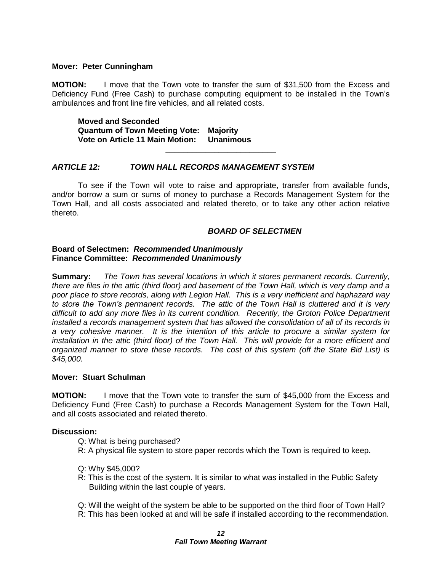#### **Mover: Peter Cunningham**

**MOTION:** I move that the Town vote to transfer the sum of \$31,500 from the Excess and Deficiency Fund (Free Cash) to purchase computing equipment to be installed in the Town's ambulances and front line fire vehicles, and all related costs.

**Moved and Seconded Quantum of Town Meeting Vote: Majority Vote on Article 11 Main Motion: Unanimous**

#### *ARTICLE 12: TOWN HALL RECORDS MANAGEMENT SYSTEM*

To see if the Town will vote to raise and appropriate, transfer from available funds, and/or borrow a sum or sums of money to purchase a Records Management System for the Town Hall, and all costs associated and related thereto, or to take any other action relative thereto.

\_\_\_\_\_\_\_\_\_\_\_\_\_\_\_\_\_\_\_\_\_\_\_\_\_

#### *BOARD OF SELECTMEN*

#### **Board of Selectmen:** *Recommended Unanimously* **Finance Committee:** *Recommended Unanimously*

**Summary:** *The Town has several locations in which it stores permanent records. Currently, there are files in the attic (third floor) and basement of the Town Hall, which is very damp and a poor place to store records, along with Legion Hall. This is a very inefficient and haphazard way to store the Town's permanent records. The attic of the Town Hall is cluttered and it is very difficult to add any more files in its current condition. Recently, the Groton Police Department installed a records management system that has allowed the consolidation of all of its records in a very cohesive manner. It is the intention of this article to procure a similar system for installation in the attic (third floor) of the Town Hall. This will provide for a more efficient and organized manner to store these records. The cost of this system (off the State Bid List) is \$45,000.*

#### **Mover: Stuart Schulman**

**MOTION:** I move that the Town vote to transfer the sum of \$45,000 from the Excess and Deficiency Fund (Free Cash) to purchase a Records Management System for the Town Hall, and all costs associated and related thereto.

#### **Discussion:**

Q: What is being purchased?

- R: A physical file system to store paper records which the Town is required to keep.
- Q: Why \$45,000?
- R: This is the cost of the system. It is similar to what was installed in the Public Safety Building within the last couple of years.
- Q: Will the weight of the system be able to be supported on the third floor of Town Hall?
- R: This has been looked at and will be safe if installed according to the recommendation.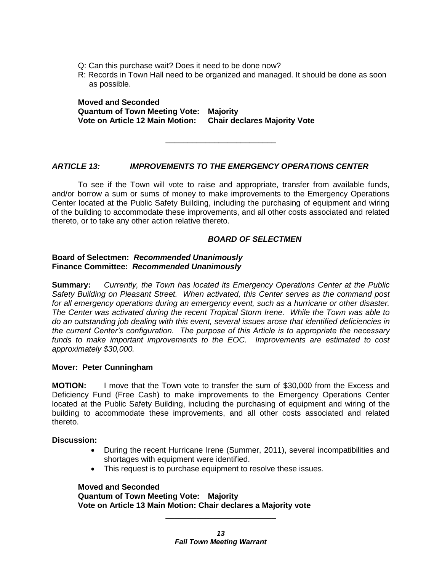- Q: Can this purchase wait? Does it need to be done now?
- R: Records in Town Hall need to be organized and managed. It should be done as soon as possible.

**Moved and Seconded Quantum of Town Meeting Vote: Majority Vote on Article 12 Main Motion: Chair declares Majority Vote**

#### *ARTICLE 13: IMPROVEMENTS TO THE EMERGENCY OPERATIONS CENTER*

To see if the Town will vote to raise and appropriate, transfer from available funds, and/or borrow a sum or sums of money to make improvements to the Emergency Operations Center located at the Public Safety Building, including the purchasing of equipment and wiring of the building to accommodate these improvements, and all other costs associated and related thereto, or to take any other action relative thereto.

\_\_\_\_\_\_\_\_\_\_\_\_\_\_\_\_\_\_\_\_\_\_\_\_\_

#### *BOARD OF SELECTMEN*

#### **Board of Selectmen:** *Recommended Unanimously* **Finance Committee:** *Recommended Unanimously*

**Summary:** *Currently, the Town has located its Emergency Operations Center at the Public Safety Building on Pleasant Street. When activated, this Center serves as the command post for all emergency operations during an emergency event, such as a hurricane or other disaster. The Center was activated during the recent Tropical Storm Irene. While the Town was able to do an outstanding job dealing with this event, several issues arose that identified deficiencies in the current Center's configuration. The purpose of this Article is to appropriate the necessary funds to make important improvements to the EOC. Improvements are estimated to cost approximately \$30,000.*

#### **Mover: Peter Cunningham**

**MOTION:** I move that the Town vote to transfer the sum of \$30,000 from the Excess and Deficiency Fund (Free Cash) to make improvements to the Emergency Operations Center located at the Public Safety Building, including the purchasing of equipment and wiring of the building to accommodate these improvements, and all other costs associated and related thereto.

**Discussion:**

- During the recent Hurricane Irene (Summer, 2011), several incompatibilities and shortages with equipment were identified.
- This request is to purchase equipment to resolve these issues.

#### **Moved and Seconded**

**Quantum of Town Meeting Vote: Majority Vote on Article 13 Main Motion: Chair declares a Majority vote**

\_\_\_\_\_\_\_\_\_\_\_\_\_\_\_\_\_\_\_\_\_\_\_\_\_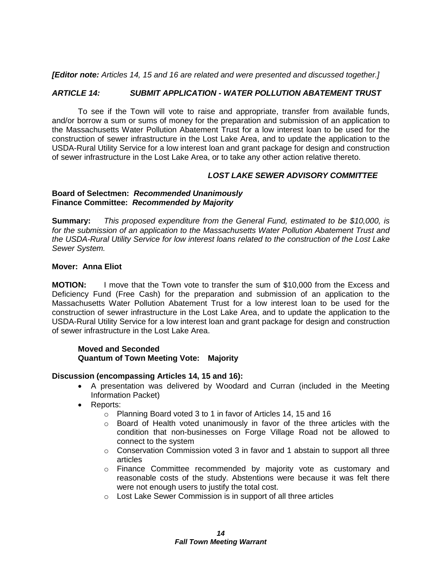*[Editor note: Articles 14, 15 and 16 are related and were presented and discussed together.]*

### *ARTICLE 14: SUBMIT APPLICATION - WATER POLLUTION ABATEMENT TRUST*

To see if the Town will vote to raise and appropriate, transfer from available funds, and/or borrow a sum or sums of money for the preparation and submission of an application to the Massachusetts Water Pollution Abatement Trust for a low interest loan to be used for the construction of sewer infrastructure in the Lost Lake Area, and to update the application to the USDA-Rural Utility Service for a low interest loan and grant package for design and construction of sewer infrastructure in the Lost Lake Area, or to take any other action relative thereto.

# *LOST LAKE SEWER ADVISORY COMMITTEE*

### **Board of Selectmen:** *Recommended Unanimously* **Finance Committee:** *Recommended by Majority*

**Summary:** *This proposed expenditure from the General Fund, estimated to be \$10,000, is for the submission of an application to the Massachusetts Water Pollution Abatement Trust and the USDA-Rural Utility Service for low interest loans related to the construction of the Lost Lake Sewer System.* 

#### **Mover: Anna Eliot**

**MOTION:** I move that the Town vote to transfer the sum of \$10,000 from the Excess and Deficiency Fund (Free Cash) for the preparation and submission of an application to the Massachusetts Water Pollution Abatement Trust for a low interest loan to be used for the construction of sewer infrastructure in the Lost Lake Area, and to update the application to the USDA-Rural Utility Service for a low interest loan and grant package for design and construction of sewer infrastructure in the Lost Lake Area.

#### **Moved and Seconded Quantum of Town Meeting Vote: Majority**

#### **Discussion (encompassing Articles 14, 15 and 16):**

- A presentation was delivered by Woodard and Curran (included in the Meeting Information Packet)
- Reports:
	- o Planning Board voted 3 to 1 in favor of Articles 14, 15 and 16
	- $\circ$  Board of Health voted unanimously in favor of the three articles with the condition that non-businesses on Forge Village Road not be allowed to connect to the system
	- $\circ$  Conservation Commission voted 3 in favor and 1 abstain to support all three articles
	- o Finance Committee recommended by majority vote as customary and reasonable costs of the study. Abstentions were because it was felt there were not enough users to justify the total cost.
	- o Lost Lake Sewer Commission is in support of all three articles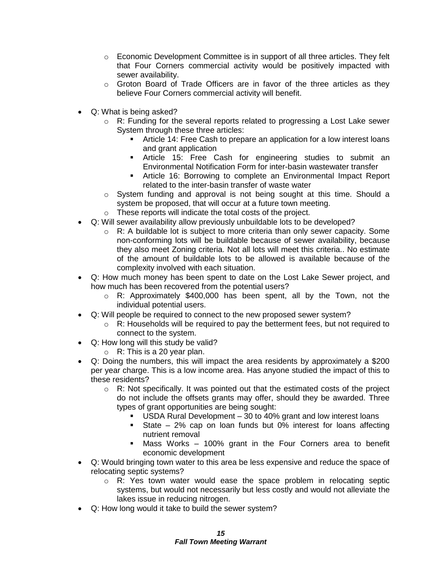- $\circ$  Economic Development Committee is in support of all three articles. They felt that Four Corners commercial activity would be positively impacted with sewer availability.
- $\circ$  Groton Board of Trade Officers are in favor of the three articles as they believe Four Corners commercial activity will benefit.
- Q: What is being asked?
	- $\circ$  R: Funding for the several reports related to progressing a Lost Lake sewer System through these three articles:
		- **F** Article 14: Free Cash to prepare an application for a low interest loans and grant application
		- Article 15: Free Cash for engineering studies to submit an Environmental Notification Form for inter-basin wastewater transfer
		- Article 16: Borrowing to complete an Environmental Impact Report related to the inter-basin transfer of waste water
	- $\circ$  System funding and approval is not being sought at this time. Should a system be proposed, that will occur at a future town meeting.
	- o These reports will indicate the total costs of the project.
- Q: Will sewer availability allow previously unbuildable lots to be developed?
	- o R: A buildable lot is subject to more criteria than only sewer capacity. Some non-conforming lots will be buildable because of sewer availability, because they also meet Zoning criteria. Not all lots will meet this criteria.. No estimate of the amount of buildable lots to be allowed is available because of the complexity involved with each situation.
- Q: How much money has been spent to date on the Lost Lake Sewer project, and how much has been recovered from the potential users?
	- $\circ$  R: Approximately \$400,000 has been spent, all by the Town, not the individual potential users.
- Q: Will people be required to connect to the new proposed sewer system?
	- o R: Households will be required to pay the betterment fees, but not required to connect to the system.
- Q: How long will this study be valid?
	- $\circ$  R: This is a 20 year plan.
- Q: Doing the numbers, this will impact the area residents by approximately a \$200 per year charge. This is a low income area. Has anyone studied the impact of this to these residents?
	- o R: Not specifically. It was pointed out that the estimated costs of the project do not include the offsets grants may offer, should they be awarded. Three types of grant opportunities are being sought:
		- USDA Rural Development 30 to 40% grant and low interest loans
		- State 2% cap on loan funds but 0% interest for loans affecting nutrient removal
		- Mass Works 100% grant in the Four Corners area to benefit economic development
- Q: Would bringing town water to this area be less expensive and reduce the space of relocating septic systems?
	- o R: Yes town water would ease the space problem in relocating septic systems, but would not necessarily but less costly and would not alleviate the lakes issue in reducing nitrogen.
- Q: How long would it take to build the sewer system?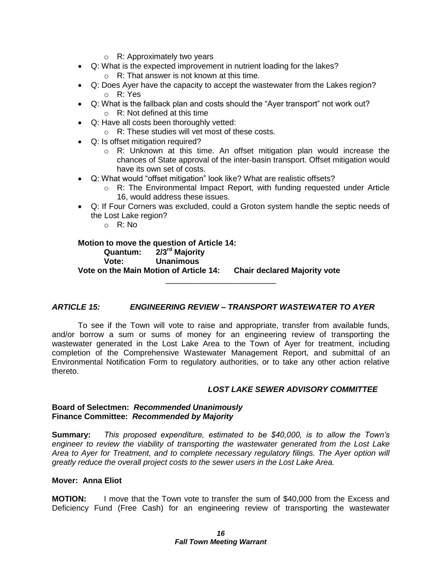- o R: Approximately two years
- Q: What is the expected improvement in nutrient loading for the lakes?
	- o R: That answer is not known at this time.
- Q: Does Ayer have the capacity to accept the wastewater from the Lakes region? o R: Yes
- Q: What is the fallback plan and costs should the "Ayer transport" not work out? o R: Not defined at this time
- Q: Have all costs been thoroughly vetted:
	- o R: These studies will vet most of these costs.
- Q: Is offset mitigation required?
	- $\circ$  R: Unknown at this time. An offset mitigation plan would increase the chances of State approval of the inter-basin transport. Offset mitigation would have its own set of costs.
- Q: What would "offset mitigation" look like? What are realistic offsets?
	- $\circ$  R: The Environmental Impact Report, with funding requested under Article 16, would address these issues.
- Q: If Four Corners was excluded, could a Groton system handle the septic needs of the Lost Lake region?
	- $\circ$  R: No

**Motion to move the question of Article 14: Quantum: 2/3rd Majority Vote: Unanimous Vote on the Main Motion of Article 14: Chair declared Majority vote**

# *ARTICLE 15: ENGINEERING REVIEW – TRANSPORT WASTEWATER TO AYER*

\_\_\_\_\_\_\_\_\_\_\_\_\_\_\_\_\_\_\_\_\_\_\_\_\_

To see if the Town will vote to raise and appropriate, transfer from available funds, and/or borrow a sum or sums of money for an engineering review of transporting the wastewater generated in the Lost Lake Area to the Town of Ayer for treatment, including completion of the Comprehensive Wastewater Management Report, and submittal of an Environmental Notification Form to regulatory authorities, or to take any other action relative thereto.

#### *LOST LAKE SEWER ADVISORY COMMITTEE*

#### **Board of Selectmen:** *Recommended Unanimously* **Finance Committee:** *Recommended by Majority*

**Summary:** *This proposed expenditure, estimated to be \$40,000, is to allow the Town's engineer to review the viability of transporting the wastewater generated from the Lost Lake Area to Ayer for Treatment, and to complete necessary regulatory filings. The Ayer option will greatly reduce the overall project costs to the sewer users in the Lost Lake Area.*

#### **Mover: Anna Eliot**

**MOTION:** I move that the Town vote to transfer the sum of \$40,000 from the Excess and Deficiency Fund (Free Cash) for an engineering review of transporting the wastewater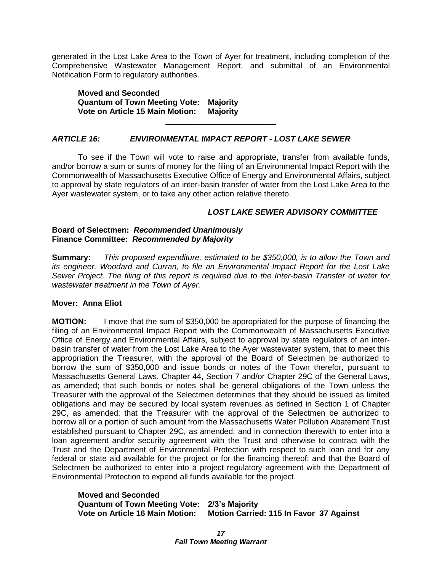generated in the Lost Lake Area to the Town of Ayer for treatment, including completion of the Comprehensive Wastewater Management Report, and submittal of an Environmental Notification Form to regulatory authorities.

**Moved and Seconded Quantum of Town Meeting Vote: Majority Vote on Article 15 Main Motion: Majority**

# *ARTICLE 16: ENVIRONMENTAL IMPACT REPORT - LOST LAKE SEWER*

To see if the Town will vote to raise and appropriate, transfer from available funds, and/or borrow a sum or sums of money for the filing of an Environmental Impact Report with the Commonwealth of Massachusetts Executive Office of Energy and Environmental Affairs, subject to approval by state regulators of an inter-basin transfer of water from the Lost Lake Area to the Ayer wastewater system, or to take any other action relative thereto.

\_\_\_\_\_\_\_\_\_\_\_\_\_\_\_\_\_\_\_\_\_\_\_\_\_

#### *LOST LAKE SEWER ADVISORY COMMITTEE*

#### **Board of Selectmen:** *Recommended Unanimously* **Finance Committee:** *Recommended by Majority*

**Summary:** *This proposed expenditure, estimated to be \$350,000, is to allow the Town and its engineer, Woodard and Curran, to file an Environmental Impact Report for the Lost Lake Sewer Project. The filing of this report is required due to the Inter-basin Transfer of water for wastewater treatment in the Town of Ayer.*

#### **Mover: Anna Eliot**

**MOTION:** I move that the sum of \$350,000 be appropriated for the purpose of financing the filing of an Environmental Impact Report with the Commonwealth of Massachusetts Executive Office of Energy and Environmental Affairs, subject to approval by state regulators of an interbasin transfer of water from the Lost Lake Area to the Ayer wastewater system, that to meet this appropriation the Treasurer, with the approval of the Board of Selectmen be authorized to borrow the sum of \$350,000 and issue bonds or notes of the Town therefor, pursuant to Massachusetts General Laws, Chapter 44, Section 7 and/or Chapter 29C of the General Laws, as amended; that such bonds or notes shall be general obligations of the Town unless the Treasurer with the approval of the Selectmen determines that they should be issued as limited obligations and may be secured by local system revenues as defined in Section 1 of Chapter 29C, as amended; that the Treasurer with the approval of the Selectmen be authorized to borrow all or a portion of such amount from the Massachusetts Water Pollution Abatement Trust established pursuant to Chapter 29C, as amended; and in connection therewith to enter into a loan agreement and/or security agreement with the Trust and otherwise to contract with the Trust and the Department of Environmental Protection with respect to such loan and for any federal or state aid available for the project or for the financing thereof; and that the Board of Selectmen be authorized to enter into a project regulatory agreement with the Department of Environmental Protection to expend all funds available for the project.

#### **Moved and Seconded Quantum of Town Meeting Vote: 2/3's Majority Vote on Article 16 Main Motion: Motion Carried: 115 In Favor 37 Against**

*17 Fall Town Meeting Warrant*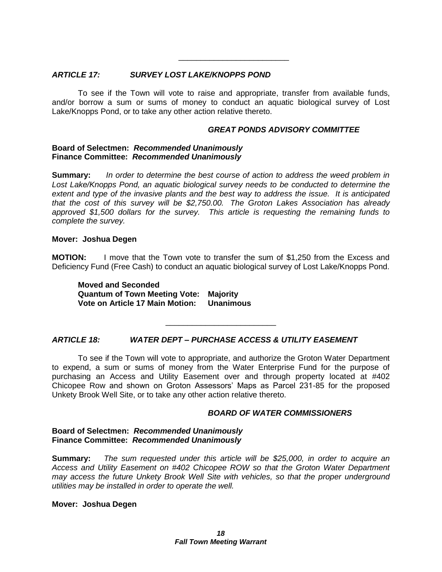#### *ARTICLE 17: SURVEY LOST LAKE/KNOPPS POND*

To see if the Town will vote to raise and appropriate, transfer from available funds, and/or borrow a sum or sums of money to conduct an aquatic biological survey of Lost Lake/Knopps Pond, or to take any other action relative thereto.

\_\_\_\_\_\_\_\_\_\_\_\_\_\_\_\_\_\_\_\_\_\_\_\_\_

#### *GREAT PONDS ADVISORY COMMITTEE*

#### **Board of Selectmen:** *Recommended Unanimously* **Finance Committee:** *Recommended Unanimously*

**Summary:** *In order to determine the best course of action to address the weed problem in Lost Lake/Knopps Pond, an aquatic biological survey needs to be conducted to determine the extent and type of the invasive plants and the best way to address the issue. It is anticipated that the cost of this survey will be \$2,750.00. The Groton Lakes Association has already approved \$1,500 dollars for the survey. This article is requesting the remaining funds to complete the survey.*

#### **Mover: Joshua Degen**

**MOTION:** I move that the Town vote to transfer the sum of \$1,250 from the Excess and Deficiency Fund (Free Cash) to conduct an aquatic biological survey of Lost Lake/Knopps Pond.

**Moved and Seconded Quantum of Town Meeting Vote: Majority Vote on Article 17 Main Motion: Unanimous**

# *ARTICLE 18: WATER DEPT – PURCHASE ACCESS & UTILITY EASEMENT*

To see if the Town will vote to appropriate, and authorize the Groton Water Department to expend, a sum or sums of money from the Water Enterprise Fund for the purpose of purchasing an Access and Utility Easement over and through property located at #402 Chicopee Row and shown on Groton Assessors' Maps as Parcel 231-85 for the proposed Unkety Brook Well Site, or to take any other action relative thereto.

\_\_\_\_\_\_\_\_\_\_\_\_\_\_\_\_\_\_\_\_\_\_\_\_\_

#### *BOARD OF WATER COMMISSIONERS*

#### **Board of Selectmen:** *Recommended Unanimously* **Finance Committee:** *Recommended Unanimously*

**Summary:** *The sum requested under this article will be \$25,000, in order to acquire an Access and Utility Easement on #402 Chicopee ROW so that the Groton Water Department may access the future Unkety Brook Well Site with vehicles, so that the proper underground utilities may be installed in order to operate the well.*

#### **Mover: Joshua Degen**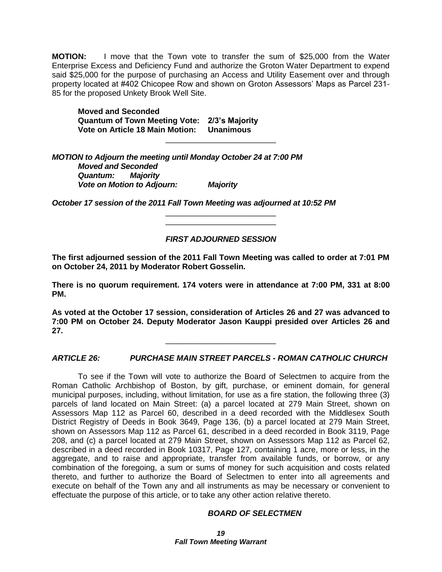**MOTION:** I move that the Town vote to transfer the sum of \$25,000 from the Water Enterprise Excess and Deficiency Fund and authorize the Groton Water Department to expend said \$25,000 for the purpose of purchasing an Access and Utility Easement over and through property located at #402 Chicopee Row and shown on Groton Assessors' Maps as Parcel 231- 85 for the proposed Unkety Brook Well Site.

\_\_\_\_\_\_\_\_\_\_\_\_\_\_\_\_\_\_\_\_\_\_\_\_\_

**Moved and Seconded Quantum of Town Meeting Vote: 2/3's Majority Vote on Article 18 Main Motion: Unanimous**

*MOTION to Adjourn the meeting until Monday October 24 at 7:00 PM Moved and Seconded Quantum: Majority Vote on Motion to Adjourn: Majority*

*October 17 session of the 2011 Fall Town Meeting was adjourned at 10:52 PM*

# *FIRST ADJOURNED SESSION*

\_\_\_\_\_\_\_\_\_\_\_\_\_\_\_\_\_\_\_\_\_\_\_\_\_ \_\_\_\_\_\_\_\_\_\_\_\_\_\_\_\_\_\_\_\_\_\_\_\_\_

**The first adjourned session of the 2011 Fall Town Meeting was called to order at 7:01 PM on October 24, 2011 by Moderator Robert Gosselin.**

**There is no quorum requirement. 174 voters were in attendance at 7:00 PM, 331 at 8:00 PM.**

**As voted at the October 17 session, consideration of Articles 26 and 27 was advanced to 7:00 PM on October 24. Deputy Moderator Jason Kauppi presided over Articles 26 and 27.** 

*ARTICLE 26: PURCHASE MAIN STREET PARCELS - ROMAN CATHOLIC CHURCH*

\_\_\_\_\_\_\_\_\_\_\_\_\_\_\_\_\_\_\_\_\_\_\_\_\_

To see if the Town will vote to authorize the Board of Selectmen to acquire from the Roman Catholic Archbishop of Boston, by gift, purchase, or eminent domain, for general municipal purposes, including, without limitation, for use as a fire station, the following three (3) parcels of land located on Main Street: (a) a parcel located at 279 Main Street, shown on Assessors Map 112 as Parcel 60, described in a deed recorded with the Middlesex South District Registry of Deeds in Book 3649, Page 136, (b) a parcel located at 279 Main Street, shown on Assessors Map 112 as Parcel 61, described in a deed recorded in Book 3119, Page 208, and (c) a parcel located at 279 Main Street, shown on Assessors Map 112 as Parcel 62, described in a deed recorded in Book 10317, Page 127, containing 1 acre, more or less, in the aggregate, and to raise and appropriate, transfer from available funds, or borrow, or any combination of the foregoing, a sum or sums of money for such acquisition and costs related thereto, and further to authorize the Board of Selectmen to enter into all agreements and execute on behalf of the Town any and all instruments as may be necessary or convenient to effectuate the purpose of this article, or to take any other action relative thereto.

#### *BOARD OF SELECTMEN*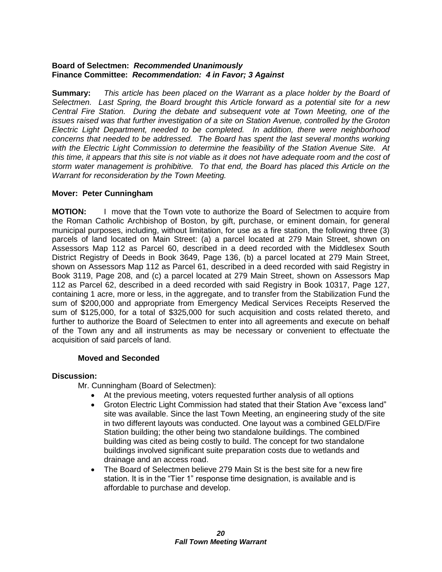### **Board of Selectmen:** *Recommended Unanimously* **Finance Committee:** *Recommendation: 4 in Favor; 3 Against*

**Summary:** *This article has been placed on the Warrant as a place holder by the Board of Selectmen. Last Spring, the Board brought this Article forward as a potential site for a new Central Fire Station. During the debate and subsequent vote at Town Meeting, one of the issues raised was that further investigation of a site on Station Avenue, controlled by the Groton Electric Light Department, needed to be completed. In addition, there were neighborhood concerns that needed to be addressed. The Board has spent the last several months working with the Electric Light Commission to determine the feasibility of the Station Avenue Site. At this time, it appears that this site is not viable as it does not have adequate room and the cost of storm water management is prohibitive. To that end, the Board has placed this Article on the Warrant for reconsideration by the Town Meeting.*

# **Mover: Peter Cunningham**

**MOTION:** I move that the Town vote to authorize the Board of Selectmen to acquire from the Roman Catholic Archbishop of Boston, by gift, purchase, or eminent domain, for general municipal purposes, including, without limitation, for use as a fire station, the following three (3) parcels of land located on Main Street: (a) a parcel located at 279 Main Street, shown on Assessors Map 112 as Parcel 60, described in a deed recorded with the Middlesex South District Registry of Deeds in Book 3649, Page 136, (b) a parcel located at 279 Main Street, shown on Assessors Map 112 as Parcel 61, described in a deed recorded with said Registry in Book 3119, Page 208, and (c) a parcel located at 279 Main Street, shown on Assessors Map 112 as Parcel 62, described in a deed recorded with said Registry in Book 10317, Page 127, containing 1 acre, more or less, in the aggregate, and to transfer from the Stabilization Fund the sum of \$200,000 and appropriate from Emergency Medical Services Receipts Reserved the sum of \$125,000, for a total of \$325,000 for such acquisition and costs related thereto, and further to authorize the Board of Selectmen to enter into all agreements and execute on behalf of the Town any and all instruments as may be necessary or convenient to effectuate the acquisition of said parcels of land.

# **Moved and Seconded**

# **Discussion:**

Mr. Cunningham (Board of Selectmen):

- At the previous meeting, voters requested further analysis of all options
- Groton Electric Light Commission had stated that their Station Ave "excess land" site was available. Since the last Town Meeting, an engineering study of the site in two different layouts was conducted. One layout was a combined GELD/Fire Station building; the other being two standalone buildings. The combined building was cited as being costly to build. The concept for two standalone buildings involved significant suite preparation costs due to wetlands and drainage and an access road.
- The Board of Selectmen believe 279 Main St is the best site for a new fire station. It is in the "Tier 1" response time designation, is available and is affordable to purchase and develop.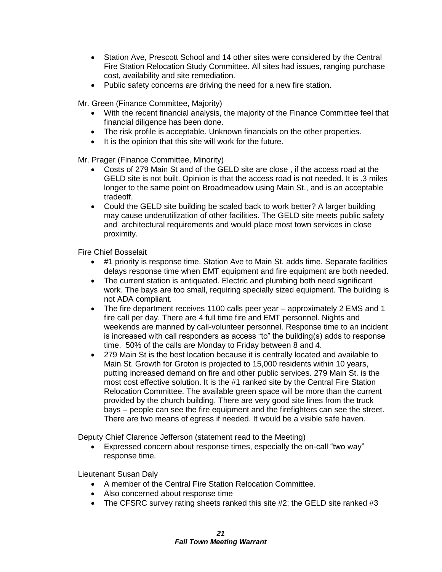- Station Ave, Prescott School and 14 other sites were considered by the Central Fire Station Relocation Study Committee. All sites had issues, ranging purchase cost, availability and site remediation.
- Public safety concerns are driving the need for a new fire station.

Mr. Green (Finance Committee, Majority)

- With the recent financial analysis, the majority of the Finance Committee feel that financial diligence has been done.
- The risk profile is acceptable. Unknown financials on the other properties.
- It is the opinion that this site will work for the future.

Mr. Prager (Finance Committee, Minority)

- Costs of 279 Main St and of the GELD site are close , if the access road at the GELD site is not built. Opinion is that the access road is not needed. It is .3 miles longer to the same point on Broadmeadow using Main St., and is an acceptable tradeoff.
- Could the GELD site building be scaled back to work better? A larger building may cause underutilization of other facilities. The GELD site meets public safety and architectural requirements and would place most town services in close proximity.

Fire Chief Bosselait

- #1 priority is response time. Station Ave to Main St. adds time. Separate facilities delays response time when EMT equipment and fire equipment are both needed.
- The current station is antiquated. Electric and plumbing both need significant work. The bays are too small, requiring specially sized equipment. The building is not ADA compliant.
- The fire department receives 1100 calls peer year approximately 2 EMS and 1 fire call per day. There are 4 full time fire and EMT personnel. Nights and weekends are manned by call-volunteer personnel. Response time to an incident is increased with call responders as access "to" the building(s) adds to response time. 50% of the calls are Monday to Friday between 8 and 4.
- 279 Main St is the best location because it is centrally located and available to Main St. Growth for Groton is projected to 15,000 residents within 10 years, putting increased demand on fire and other public services. 279 Main St. is the most cost effective solution. It is the #1 ranked site by the Central Fire Station Relocation Committee. The available green space will be more than the current provided by the church building. There are very good site lines from the truck bays – people can see the fire equipment and the firefighters can see the street. There are two means of egress if needed. It would be a visible safe haven.

Deputy Chief Clarence Jefferson (statement read to the Meeting)

 Expressed concern about response times, especially the on-call "two way" response time.

Lieutenant Susan Daly

- A member of the Central Fire Station Relocation Committee.
- Also concerned about response time
- The CFSRC survey rating sheets ranked this site  $#2$ ; the GELD site ranked  $#3$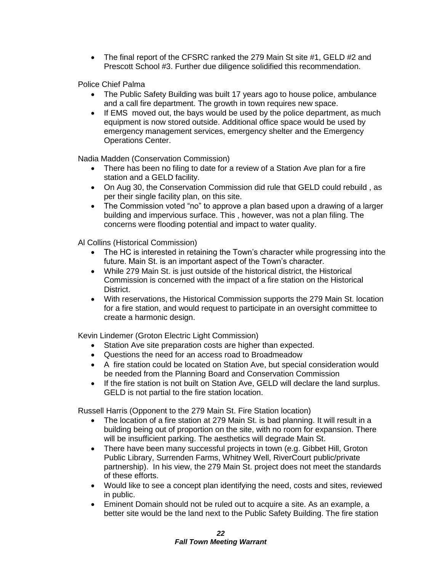• The final report of the CFSRC ranked the 279 Main St site #1, GELD #2 and Prescott School #3. Further due diligence solidified this recommendation.

Police Chief Palma

- The Public Safety Building was built 17 years ago to house police, ambulance and a call fire department. The growth in town requires new space.
- If EMS moved out, the bays would be used by the police department, as much equipment is now stored outside. Additional office space would be used by emergency management services, emergency shelter and the Emergency Operations Center.

Nadia Madden (Conservation Commission)

- There has been no filing to date for a review of a Station Ave plan for a fire station and a GELD facility.
- On Aug 30, the Conservation Commission did rule that GELD could rebuild , as per their single facility plan, on this site.
- The Commission voted "no" to approve a plan based upon a drawing of a larger building and impervious surface. This , however, was not a plan filing. The concerns were flooding potential and impact to water quality.

Al Collins (Historical Commission)

- The HC is interested in retaining the Town's character while progressing into the future. Main St. is an important aspect of the Town's character.
- While 279 Main St. is just outside of the historical district, the Historical Commission is concerned with the impact of a fire station on the Historical District.
- With reservations, the Historical Commission supports the 279 Main St. location for a fire station, and would request to participate in an oversight committee to create a harmonic design.

Kevin Lindemer (Groton Electric Light Commission)

- Station Ave site preparation costs are higher than expected.
- Questions the need for an access road to Broadmeadow
- A fire station could be located on Station Ave, but special consideration would be needed from the Planning Board and Conservation Commission
- If the fire station is not built on Station Ave, GELD will declare the land surplus. GELD is not partial to the fire station location.

Russell Harris (Opponent to the 279 Main St. Fire Station location)

- The location of a fire station at 279 Main St. is bad planning. It will result in a building being out of proportion on the site, with no room for expansion. There will be insufficient parking. The aesthetics will degrade Main St.
- There have been many successful projects in town (e.g. Gibbet Hill, Groton Public Library, Surrenden Farms, Whitney Well, RiverCourt public/private partnership). In his view, the 279 Main St. project does not meet the standards of these efforts.
- Would like to see a concept plan identifying the need, costs and sites, reviewed in public.
- Eminent Domain should not be ruled out to acquire a site. As an example, a better site would be the land next to the Public Safety Building. The fire station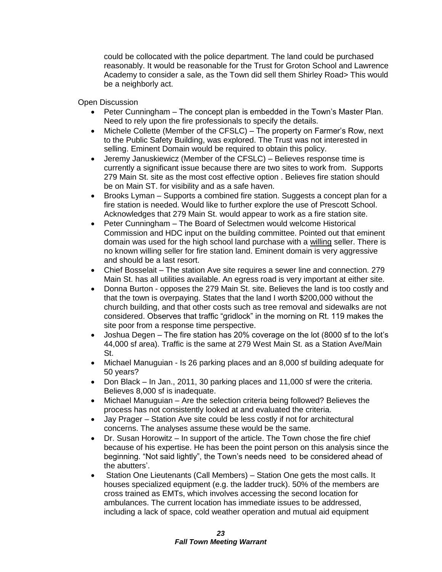could be collocated with the police department. The land could be purchased reasonably. It would be reasonable for the Trust for Groton School and Lawrence Academy to consider a sale, as the Town did sell them Shirley Road> This would be a neighborly act.

Open Discussion

- Peter Cunningham The concept plan is embedded in the Town's Master Plan. Need to rely upon the fire professionals to specify the details.
- Michele Collette (Member of the CFSLC) The property on Farmer's Row, next to the Public Safety Building, was explored. The Trust was not interested in selling. Eminent Domain would be required to obtain this policy.
- Jeremy Januskiewicz (Member of the CFSLC) Believes response time is currently a significant issue because there are two sites to work from. Supports 279 Main St. site as the most cost effective option . Believes fire station should be on Main ST. for visibility and as a safe haven.
- Brooks Lyman Supports a combined fire station. Suggests a concept plan for a fire station is needed. Would like to further explore the use of Prescott School. Acknowledges that 279 Main St. would appear to work as a fire station site.
- Peter Cunningham The Board of Selectmen would welcome Historical Commission and HDC input on the building committee. Pointed out that eminent domain was used for the high school land purchase with a willing seller. There is no known willing seller for fire station land. Eminent domain is very aggressive and should be a last resort.
- Chief Bosselait The station Ave site requires a sewer line and connection. 279 Main St. has all utilities available. An egress road is very important at either site.
- Donna Burton opposes the 279 Main St. site. Believes the land is too costly and that the town is overpaying. States that the land I worth \$200,000 without the church building, and that other costs such as tree removal and sidewalks are not considered. Observes that traffic "gridlock" in the morning on Rt. 119 makes the site poor from a response time perspective.
- Joshua Degen The fire station has 20% coverage on the lot (8000 sf to the lot's 44,000 sf area). Traffic is the same at 279 West Main St. as a Station Ave/Main St.
- Michael Manuguian Is 26 parking places and an 8,000 sf building adequate for 50 years?
- Don Black In Jan., 2011, 30 parking places and 11,000 sf were the criteria. Believes 8,000 sf is inadequate.
- Michael Manuguian Are the selection criteria being followed? Believes the process has not consistently looked at and evaluated the criteria.
- Jay Prager Station Ave site could be less costly if not for architectural concerns. The analyses assume these would be the same.
- Dr. Susan Horowitz In support of the article. The Town chose the fire chief because of his expertise. He has been the point person on this analysis since the beginning. "Not said lightly", the Town's needs need to be considered ahead of the abutters'.
- Station One Lieutenants (Call Members) Station One gets the most calls. It houses specialized equipment (e.g. the ladder truck). 50% of the members are cross trained as EMTs, which involves accessing the second location for ambulances. The current location has immediate issues to be addressed, including a lack of space, cold weather operation and mutual aid equipment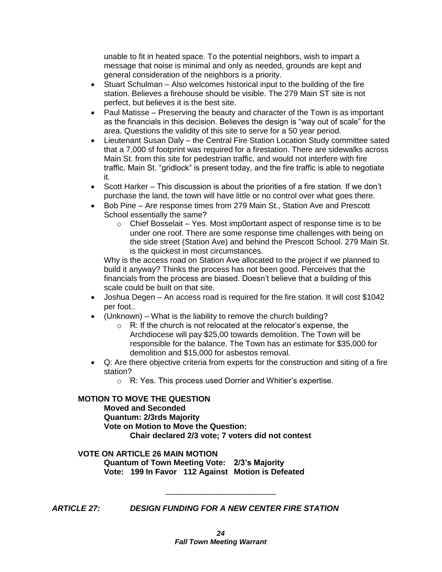unable to fit in heated space. To the potential neighbors, wish to impart a message that noise is minimal and only as needed, grounds are kept and general consideration of the neighbors is a priority.

- Stuart Schulman Also welcomes historical input to the building of the fire station. Believes a firehouse should be visible. The 279 Main ST site is not perfect, but believes it is the best site.
- Paul Matisse Preserving the beauty and character of the Town is as important as the financials in this decision. Believes the design is "way out of scale" for the area. Questions the validity of this site to serve for a 50 year period.
- Lieutenant Susan Daly the Central Fire Station Location Study committee sated that a 7,000 sf footprint was required for a firestation. There are sidewalks across Main St. from this site for pedestrian traffic, and would not interfere with fire traffic. Main St. "gridlock" is present today, and the fire traffic is able to negotiate it.
- Scott Harker This discussion is about the priorities of a fire station. If we don't purchase the land, the town will have little or no control over what goes there.
- Bob Pine Are response times from 279 Main St., Station Ave and Prescott School essentially the same?
	- o Chief Bosselait Yes. Most imp0ortant aspect of response time is to be under one roof. There are some response time challenges with being on the side street (Station Ave) and behind the Prescott School. 279 Main St. is the quickest in most circumstances.

Why is the access road on Station Ave allocated to the project if we planned to build it anyway? Thinks the process has not been good. Perceives that the financials from the process are biased. Doesn't believe that a building of this scale could be built on that site.

- Joshua Degen An access road is required for the fire station. It will cost \$1042 per foot..
- (Unknown) What is the liability to remove the church building?
	- $\circ$  R: If the church is not relocated at the relocator's expense, the Archdiocese will pay \$25,00 towards demolition. The Town will be responsible for the balance. The Town has an estimate for \$35,000 for demolition and \$15,000 for asbestos removal.
- Q: Are there objective criteria from experts for the construction and siting of a fire station?
	- o R: Yes. This process used Dorrier and Whitier's expertise.

# **MOTION TO MOVE THE QUESTION**

**Moved and Seconded Quantum: 2/3rds Majority Vote on Motion to Move the Question: Chair declared 2/3 vote; 7 voters did not contest**

# **VOTE ON ARTICLE 26 MAIN MOTION**

**Quantum of Town Meeting Vote: 2/3's Majority Vote: 199 In Favor 112 Against Motion is Defeated** 

*ARTICLE 27: DESIGN FUNDING FOR A NEW CENTER FIRE STATION*

\_\_\_\_\_\_\_\_\_\_\_\_\_\_\_\_\_\_\_\_\_\_\_\_\_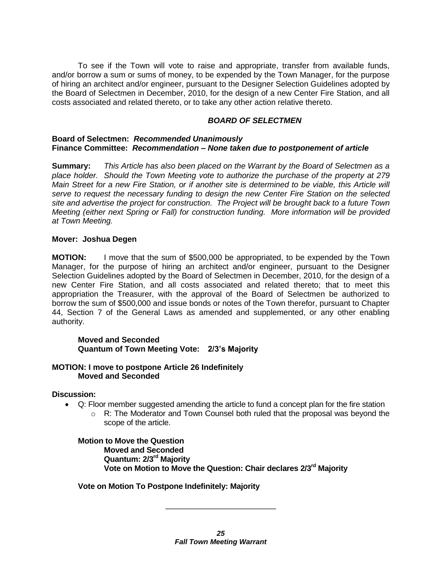To see if the Town will vote to raise and appropriate, transfer from available funds, and/or borrow a sum or sums of money, to be expended by the Town Manager, for the purpose of hiring an architect and/or engineer, pursuant to the Designer Selection Guidelines adopted by the Board of Selectmen in December, 2010, for the design of a new Center Fire Station, and all costs associated and related thereto, or to take any other action relative thereto.

#### *BOARD OF SELECTMEN*

#### **Board of Selectmen:** *Recommended Unanimously* **Finance Committee:** *Recommendation – None taken due to postponement of article*

**Summary:** *This Article has also been placed on the Warrant by the Board of Selectmen as a place holder. Should the Town Meeting vote to authorize the purchase of the property at 279 Main Street for a new Fire Station, or if another site is determined to be viable, this Article will serve to request the necessary funding to design the new Center Fire Station on the selected site and advertise the project for construction. The Project will be brought back to a future Town Meeting (either next Spring or Fall) for construction funding. More information will be provided at Town Meeting.*

#### **Mover: Joshua Degen**

**MOTION:** I move that the sum of \$500,000 be appropriated, to be expended by the Town Manager, for the purpose of hiring an architect and/or engineer, pursuant to the Designer Selection Guidelines adopted by the Board of Selectmen in December, 2010, for the design of a new Center Fire Station, and all costs associated and related thereto; that to meet this appropriation the Treasurer, with the approval of the Board of Selectmen be authorized to borrow the sum of \$500,000 and issue bonds or notes of the Town therefor, pursuant to Chapter 44, Section 7 of the General Laws as amended and supplemented, or any other enabling authority.

# **Moved and Seconded Quantum of Town Meeting Vote: 2/3's Majority**

#### **MOTION: I move to postpone Article 26 Indefinitely Moved and Seconded**

#### **Discussion:**

- Q: Floor member suggested amending the article to fund a concept plan for the fire station
	- $\circ$  R: The Moderator and Town Counsel both ruled that the proposal was beyond the scope of the article.

### **Motion to Move the Question Moved and Seconded Quantum: 2/3rd Majority Vote on Motion to Move the Question: Chair declares 2/3rd Majority**

# **Vote on Motion To Postpone Indefinitely: Majority**

\_\_\_\_\_\_\_\_\_\_\_\_\_\_\_\_\_\_\_\_\_\_\_\_\_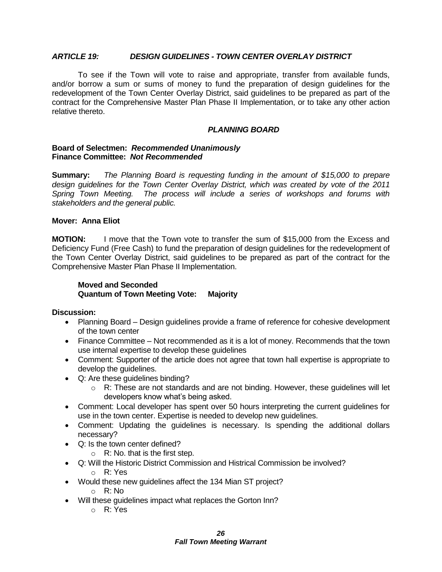#### *ARTICLE 19: DESIGN GUIDELINES - TOWN CENTER OVERLAY DISTRICT*

To see if the Town will vote to raise and appropriate, transfer from available funds, and/or borrow a sum or sums of money to fund the preparation of design guidelines for the redevelopment of the Town Center Overlay District, said guidelines to be prepared as part of the contract for the Comprehensive Master Plan Phase II Implementation, or to take any other action relative thereto.

#### *PLANNING BOARD*

#### **Board of Selectmen:** *Recommended Unanimously* **Finance Committee:** *Not Recommended*

**Summary:** *The Planning Board is requesting funding in the amount of \$15,000 to prepare design guidelines for the Town Center Overlay District, which was created by vote of the 2011 Spring Town Meeting. The process will include a series of workshops and forums with stakeholders and the general public.*

#### **Mover: Anna Eliot**

**MOTION:** I move that the Town vote to transfer the sum of \$15,000 from the Excess and Deficiency Fund (Free Cash) to fund the preparation of design guidelines for the redevelopment of the Town Center Overlay District, said guidelines to be prepared as part of the contract for the Comprehensive Master Plan Phase II Implementation.

# **Moved and Seconded Quantum of Town Meeting Vote: Majority**

**Discussion:**

- Planning Board Design guidelines provide a frame of reference for cohesive development of the town center
- Finance Committee Not recommended as it is a lot of money. Recommends that the town use internal expertise to develop these guidelines
- Comment: Supporter of the article does not agree that town hall expertise is appropriate to develop the guidelines.
- Q: Are these guidelines binding?
	- o R: These are not standards and are not binding. However, these guidelines will let developers know what's being asked.
- Comment: Local developer has spent over 50 hours interpreting the current guidelines for use in the town center. Expertise is needed to develop new guidelines.
- Comment: Updating the guidelines is necessary. Is spending the additional dollars necessary?
- Q: Is the town center defined?
	- $\circ$  R: No. that is the first step.
- Q: Will the Historic District Commission and Histrical Commission be involved?
	- o R: Yes
- Would these new guidelines affect the 134 Mian ST project?
	- o R: No
- Will these guidelines impact what replaces the Gorton Inn?
	- o R: Yes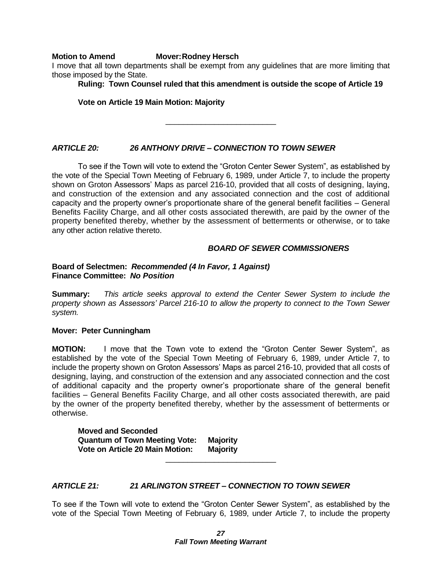#### **Motion to Amend Mover:Rodney Hersch**

I move that all town departments shall be exempt from any guidelines that are more limiting that those imposed by the State.

**Ruling: Town Counsel ruled that this amendment is outside the scope of Article 19**

#### **Vote on Article 19 Main Motion: Majority**

\_\_\_\_\_\_\_\_\_\_\_\_\_\_\_\_\_\_\_\_\_\_\_\_\_

# *ARTICLE 20: 26 ANTHONY DRIVE – CONNECTION TO TOWN SEWER*

To see if the Town will vote to extend the "Groton Center Sewer System", as established by the vote of the Special Town Meeting of February 6, 1989, under Article 7, to include the property shown on Groton Assessors' Maps as parcel 216-10, provided that all costs of designing, laying, and construction of the extension and any associated connection and the cost of additional capacity and the property owner's proportionate share of the general benefit facilities – General Benefits Facility Charge, and all other costs associated therewith, are paid by the owner of the property benefited thereby, whether by the assessment of betterments or otherwise, or to take any other action relative thereto.

#### *BOARD OF SEWER COMMISSIONERS*

#### **Board of Selectmen:** *Recommended (4 In Favor, 1 Against)* **Finance Committee:** *No Position*

**Summary:** *This article seeks approval to extend the Center Sewer System to include the property shown as Assessors' Parcel 216-10 to allow the property to connect to the Town Sewer system.*

#### **Mover: Peter Cunningham**

**MOTION:** I move that the Town vote to extend the "Groton Center Sewer System", as established by the vote of the Special Town Meeting of February 6, 1989, under Article 7, to include the property shown on Groton Assessors' Maps as parcel 216-10, provided that all costs of designing, laying, and construction of the extension and any associated connection and the cost of additional capacity and the property owner's proportionate share of the general benefit facilities – General Benefits Facility Charge, and all other costs associated therewith, are paid by the owner of the property benefited thereby, whether by the assessment of betterments or otherwise.

**Moved and Seconded Quantum of Town Meeting Vote: Majority Vote on Article 20 Main Motion: Majority**

# *ARTICLE 21: 21 ARLINGTON STREET – CONNECTION TO TOWN SEWER*

To see if the Town will vote to extend the "Groton Center Sewer System", as established by the vote of the Special Town Meeting of February 6, 1989, under Article 7, to include the property

\_\_\_\_\_\_\_\_\_\_\_\_\_\_\_\_\_\_\_\_\_\_\_\_\_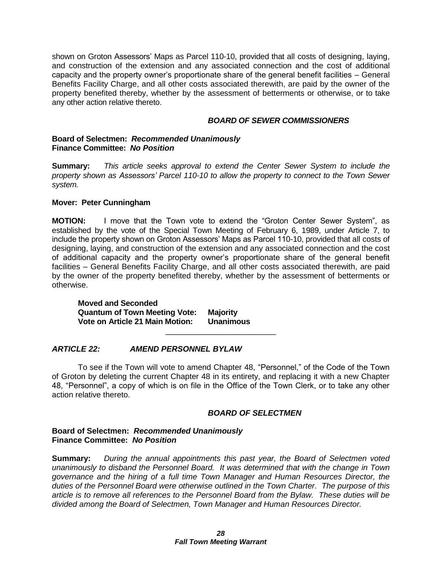shown on Groton Assessors' Maps as Parcel 110-10, provided that all costs of designing, laying, and construction of the extension and any associated connection and the cost of additional capacity and the property owner's proportionate share of the general benefit facilities – General Benefits Facility Charge, and all other costs associated therewith, are paid by the owner of the property benefited thereby, whether by the assessment of betterments or otherwise, or to take any other action relative thereto.

#### *BOARD OF SEWER COMMISSIONERS*

#### **Board of Selectmen:** *Recommended Unanimously* **Finance Committee:** *No Position*

**Summary:** *This article seeks approval to extend the Center Sewer System to include the property shown as Assessors' Parcel 110-10 to allow the property to connect to the Town Sewer system.*

#### **Mover: Peter Cunningham**

**MOTION:** I move that the Town vote to extend the "Groton Center Sewer System", as established by the vote of the Special Town Meeting of February 6, 1989, under Article 7, to include the property shown on Groton Assessors' Maps as Parcel 110-10, provided that all costs of designing, laying, and construction of the extension and any associated connection and the cost of additional capacity and the property owner's proportionate share of the general benefit facilities – General Benefits Facility Charge, and all other costs associated therewith, are paid by the owner of the property benefited thereby, whether by the assessment of betterments or otherwise.

**Moved and Seconded Quantum of Town Meeting Vote: Majority Vote on Article 21 Main Motion: Unanimous**

# *ARTICLE 22: AMEND PERSONNEL BYLAW*

To see if the Town will vote to amend Chapter 48, "Personnel," of the Code of the Town of Groton by deleting the current Chapter 48 in its entirety, and replacing it with a new Chapter 48, "Personnel", a copy of which is on file in the Office of the Town Clerk, or to take any other action relative thereto.

\_\_\_\_\_\_\_\_\_\_\_\_\_\_\_\_\_\_\_\_\_\_\_\_\_

#### *BOARD OF SELECTMEN*

#### **Board of Selectmen:** *Recommended Unanimously* **Finance Committee:** *No Position*

**Summary:** *During the annual appointments this past year, the Board of Selectmen voted unanimously to disband the Personnel Board. It was determined that with the change in Town governance and the hiring of a full time Town Manager and Human Resources Director, the duties of the Personnel Board were otherwise outlined in the Town Charter. The purpose of this article is to remove all references to the Personnel Board from the Bylaw. These duties will be divided among the Board of Selectmen, Town Manager and Human Resources Director.*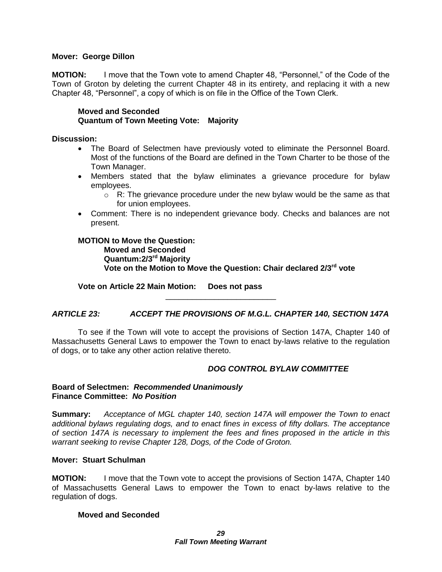#### **Mover: George Dillon**

**MOTION:** I move that the Town vote to amend Chapter 48, "Personnel," of the Code of the Town of Groton by deleting the current Chapter 48 in its entirety, and replacing it with a new Chapter 48, "Personnel", a copy of which is on file in the Office of the Town Clerk.

**Moved and Seconded Quantum of Town Meeting Vote: Majority**

#### **Discussion:**

- The Board of Selectmen have previously voted to eliminate the Personnel Board. Most of the functions of the Board are defined in the Town Charter to be those of the Town Manager.
- Members stated that the bylaw eliminates a grievance procedure for bylaw employees.
	- $\circ$  R: The grievance procedure under the new bylaw would be the same as that for union employees.
- Comment: There is no independent grievance body. Checks and balances are not present.

**MOTION to Move the Question: Moved and Seconded Quantum:2/3rd Majority Vote on the Motion to Move the Question: Chair declared 2/3rd vote**

**Vote on Article 22 Main Motion: Does not pass**

# *ARTICLE 23: ACCEPT THE PROVISIONS OF M.G.L. CHAPTER 140, SECTION 147A*

\_\_\_\_\_\_\_\_\_\_\_\_\_\_\_\_\_\_\_\_\_\_\_\_\_

To see if the Town will vote to accept the provisions of Section 147A, Chapter 140 of Massachusetts General Laws to empower the Town to enact by-laws relative to the regulation of dogs, or to take any other action relative thereto.

# *DOG CONTROL BYLAW COMMITTEE*

#### **Board of Selectmen:** *Recommended Unanimously* **Finance Committee:** *No Position*

**Summary:** *Acceptance of MGL chapter 140, section 147A will empower the Town to enact additional bylaws regulating dogs, and to enact fines in excess of fifty dollars. The acceptance of section 147A is necessary to implement the fees and fines proposed in the article in this warrant seeking to revise Chapter 128, Dogs, of the Code of Groton.*

#### **Mover: Stuart Schulman**

**MOTION:** I move that the Town vote to accept the provisions of Section 147A, Chapter 140 of Massachusetts General Laws to empower the Town to enact by-laws relative to the regulation of dogs.

#### **Moved and Seconded**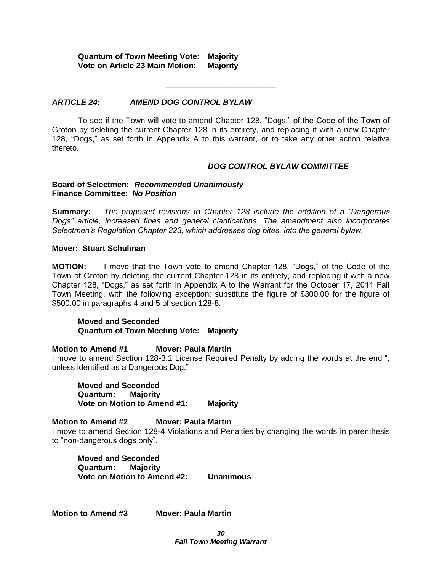**Quantum of Town Meeting Vote: Majority Vote on Article 23 Main Motion:** 

#### *ARTICLE 24: AMEND DOG CONTROL BYLAW*

To see if the Town will vote to amend Chapter 128, "Dogs," of the Code of the Town of Groton by deleting the current Chapter 128 in its entirety, and replacing it with a new Chapter 128, "Dogs," as set forth in Appendix A to this warrant, or to take any other action relative thereto.

\_\_\_\_\_\_\_\_\_\_\_\_\_\_\_\_\_\_\_\_\_\_\_\_\_

#### *DOG CONTROL BYLAW COMMITTEE*

#### **Board of Selectmen:** *Recommended Unanimously* **Finance Committee:** *No Position*

**Summary:** *The proposed revisions to Chapter 128 include the addition of a "Dangerous Dogs" article, increased fines and general clarifications. The amendment also incorporates Selectmen's Regulation Chapter 223, which addresses dog bites, into the general bylaw.*

#### **Mover: Stuart Schulman**

**MOTION:** I move that the Town vote to amend Chapter 128, "Dogs," of the Code of the Town of Groton by deleting the current Chapter 128 in its entirety, and replacing it with a new Chapter 128, "Dogs," as set forth in Appendix A to the Warrant for the October 17, 2011 Fall Town Meeting, with the following exception: substitute the figure of \$300.00 for the figure of \$500.00 in paragraphs 4 and 5 of section 128-8.

#### **Moved and Seconded Quantum of Town Meeting Vote: Majority**

#### **Motion to Amend #1 Mover: Paula Martin**

I move to amend Section 128-3.1 License Required Penalty by adding the words at the end ", unless identified as a Dangerous Dog."

**Moved and Seconded Quantum: Majority Vote on Motion to Amend #1: Majority**

**Motion to Amend #2 Mover: Paula Martin** 

I move to amend Section 128-4 Violations and Penalties by changing the words in parenthesis to "non-dangerous dogs only".

**Moved and Seconded Quantum: Majority Vote on Motion to Amend #2: Unanimous**

**Motion to Amend #3 Mover: Paula Martin**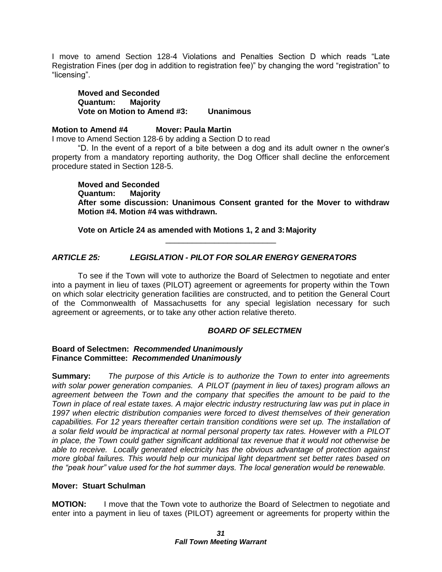I move to amend Section 128-4 Violations and Penalties Section D which reads "Late Registration Fines (per dog in addition to registration fee)" by changing the word "registration" to "licensing".

**Moved and Seconded Quantum: Majority Vote on Motion to Amend #3: Unanimous**

#### **Motion to Amend #4 Mover: Paula Martin**

I move to Amend Section 128-6 by adding a Section D to read

"D. In the event of a report of a bite between a dog and its adult owner n the owner's property from a mandatory reporting authority, the Dog Officer shall decline the enforcement procedure stated in Section 128-5.

**Moved and Seconded Quantum: Majority After some discussion: Unanimous Consent granted for the Mover to withdraw Motion #4. Motion #4 was withdrawn.**

**Vote on Article 24 as amended with Motions 1, 2 and 3:Majority**

# *ARTICLE 25: LEGISLATION - PILOT FOR SOLAR ENERGY GENERATORS*

To see if the Town will vote to authorize the Board of Selectmen to negotiate and enter into a payment in lieu of taxes (PILOT) agreement or agreements for property within the Town on which solar electricity generation facilities are constructed, and to petition the General Court of the Commonwealth of Massachusetts for any special legislation necessary for such agreement or agreements, or to take any other action relative thereto.

\_\_\_\_\_\_\_\_\_\_\_\_\_\_\_\_\_\_\_\_\_\_\_\_\_

# *BOARD OF SELECTMEN*

#### **Board of Selectmen:** *Recommended Unanimously* **Finance Committee:** *Recommended Unanimously*

**Summary:** *The purpose of this Article is to authorize the Town to enter into agreements with solar power generation companies. A PILOT (payment in lieu of taxes) program allows an agreement between the Town and the company that specifies the amount to be paid to the Town in place of real estate taxes. A major electric industry restructuring law was put in place in 1997 when electric distribution companies were forced to divest themselves of their generation capabilities. For 12 years thereafter certain transition conditions were set up. The installation of a solar field would be impractical at normal personal property tax rates. However with a PILOT in place, the Town could gather significant additional tax revenue that it would not otherwise be able to receive. Locally generated electricity has the obvious advantage of protection against more global failures. This would help our municipal light department set better rates based on the "peak hour" value used for the hot summer days. The local generation would be renewable.*

# **Mover: Stuart Schulman**

**MOTION:** I move that the Town vote to authorize the Board of Selectmen to negotiate and enter into a payment in lieu of taxes (PILOT) agreement or agreements for property within the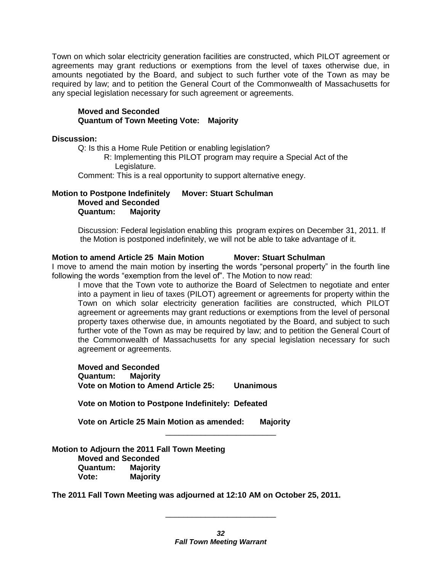Town on which solar electricity generation facilities are constructed, which PILOT agreement or agreements may grant reductions or exemptions from the level of taxes otherwise due, in amounts negotiated by the Board, and subject to such further vote of the Town as may be required by law; and to petition the General Court of the Commonwealth of Massachusetts for any special legislation necessary for such agreement or agreements.

#### **Moved and Seconded Quantum of Town Meeting Vote: Majority**

#### **Discussion:**

Q: Is this a Home Rule Petition or enabling legislation?

R: Implementing this PILOT program may require a Special Act of the Legislature.

Comment: This is a real opportunity to support alternative enegy.

### **Motion to Postpone Indefinitely Mover: Stuart Schulman Moved and Seconded Quantum: Majority**

Discussion: Federal legislation enabling this program expires on December 31, 2011. If the Motion is postponed indefinitely, we will not be able to take advantage of it.

#### **Motion to amend Article 25 Main Motion Mover: Stuart Schulman**

I move to amend the main motion by inserting the words "personal property" in the fourth line following the words "exemption from the level of". The Motion to now read:

I move that the Town vote to authorize the Board of Selectmen to negotiate and enter into a payment in lieu of taxes (PILOT) agreement or agreements for property within the Town on which solar electricity generation facilities are constructed, which PILOT agreement or agreements may grant reductions or exemptions from the level of personal property taxes otherwise due, in amounts negotiated by the Board, and subject to such further vote of the Town as may be required by law; and to petition the General Court of the Commonwealth of Massachusetts for any special legislation necessary for such agreement or agreements.

**Moved and Seconded Quantum: Majority Vote on Motion to Amend Article 25: Unanimous**

**Vote on Motion to Postpone Indefinitely: Defeated**

**Vote on Article 25 Main Motion as amended: Majority**

**Motion to Adjourn the 2011 Fall Town Meeting Moved and Seconded Quantum: Majority Vote: Majority**

**The 2011 Fall Town Meeting was adjourned at 12:10 AM on October 25, 2011.**

\_\_\_\_\_\_\_\_\_\_\_\_\_\_\_\_\_\_\_\_\_\_\_\_\_

\_\_\_\_\_\_\_\_\_\_\_\_\_\_\_\_\_\_\_\_\_\_\_\_\_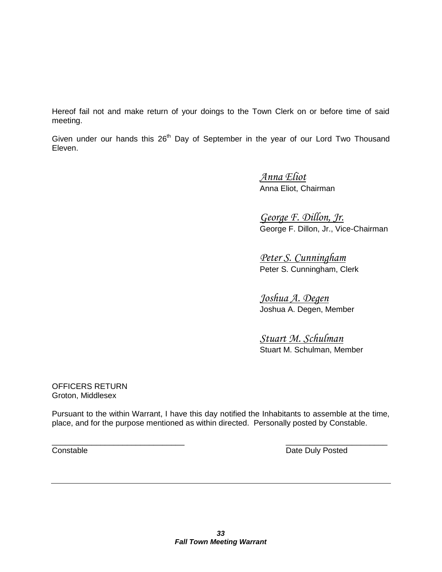Hereof fail not and make return of your doings to the Town Clerk on or before time of said meeting.

Given under our hands this  $26<sup>th</sup>$  Day of September in the year of our Lord Two Thousand Eleven.

> *Anna Eliot* Anna Eliot, Chairman

*George F. Dillon, Jr.* George F. Dillon, Jr., Vice-Chairman

*Peter S. Cunningham* Peter S. Cunningham, Clerk

*Joshua A. Degen* Joshua A. Degen, Member

*Stuart M. Schulman* Stuart M. Schulman, Member

OFFICERS RETURN Groton, Middlesex

Pursuant to the within Warrant, I have this day notified the Inhabitants to assemble at the time, place, and for the purpose mentioned as within directed. Personally posted by Constable.

 $\overline{\phantom{a}}$  , and the contract of the contract of the contract of the contract of the contract of the contract of the contract of the contract of the contract of the contract of the contract of the contract of the contrac Constable **Constable Date Duly Posted**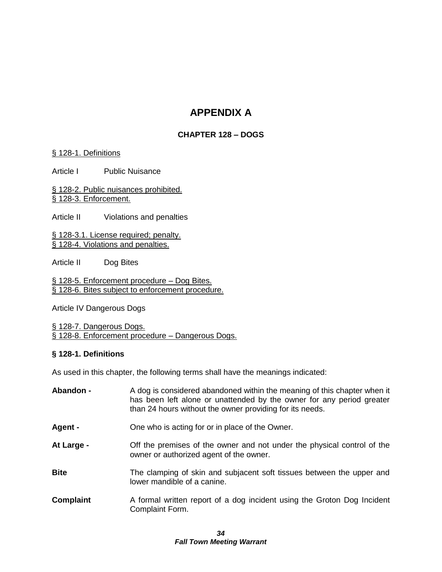# **APPENDIX A**

# **CHAPTER 128 – DOGS**

#### § [128-1. Definitions](http://www.ecode360.com/ecode3-back/getSimple.jsp?custId=GR1188&guid=9077765&all=true#9077766)

Article I Public Nuisance

§ [128-2. Public nuisances prohibited.](http://www.ecode360.com/ecode3-back/getSimple.jsp?custId=GR1188&guid=9077765&all=true#9077782) § [128-3. Enforcement.](http://www.ecode360.com/ecode3-back/getSimple.jsp?custId=GR1188&guid=9077765&all=true#9077783)

Article II Violations and penalties

§ [128-3.1. License required; penalty.](http://www.ecode360.com/ecode3-back/getSimple.jsp?custId=GR1188&guid=9077765&all=true#9077796) § [128-4. Violations and penalties.](http://www.ecode360.com/ecode3-back/getSimple.jsp?custId=GR1188&guid=9077765&all=true#9077800)

Article II Dog Bites

§ 128-5. Enforcement procedure - Dog Bites. § 128-6. Bites subject to enforcement procedure.

Article IV Dangerous Dogs

§ [128-7. Dangerous Dogs.](http://www.ecode360.com/ecode3-back/getSimple.jsp?custId=GR1188&guid=9077765&all=true#9077800) § 128-8. Enforcement procedure – Dangerous Dogs.

#### **§ 128-1. Definitions**

As used in this chapter, the following terms shall have the meanings indicated:

| Abandon -   | A dog is considered abandoned within the meaning of this chapter when it<br>has been left alone or unattended by the owner for any period greater<br>than 24 hours without the owner providing for its needs. |
|-------------|---------------------------------------------------------------------------------------------------------------------------------------------------------------------------------------------------------------|
| Agent -     | One who is acting for or in place of the Owner.                                                                                                                                                               |
| At Large -  | Off the premises of the owner and not under the physical control of the<br>owner or authorized agent of the owner.                                                                                            |
| <b>Bite</b> | The clamping of skin and subjacent soft tissues between the upper and<br>lower mandible of a canine.                                                                                                          |
| Complaint   | A formal written report of a dog incident using the Groton Dog Incident<br>Complaint Form.                                                                                                                    |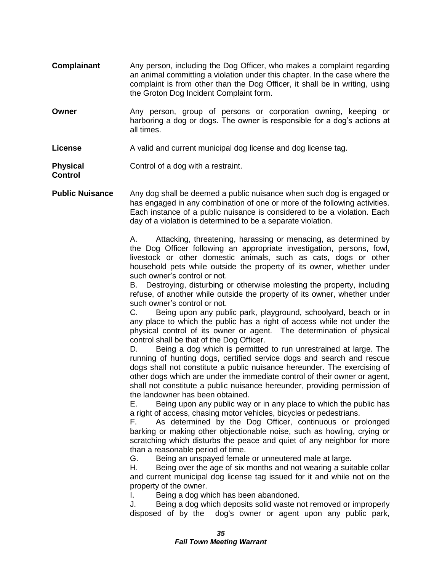- **Complainant** Any person, including the Dog Officer, who makes a complaint regarding an animal committing a violation under this chapter. In the case where the complaint is from other than the Dog Officer, it shall be in writing, using the Groton Dog Incident Complaint form.
- **Owner Any person, group of persons or corporation owning, keeping or** harboring a dog or dogs. The owner is responsible for a dog's actions at all times.
- **License** A valid and current municipal dog license and dog license tag.

**Physical** Control of a dog with a restraint. **Control**

**Public Nuisance** Any dog shall be deemed a public nuisance when such dog is engaged or has engaged in any combination of one or more of the following activities. Each instance of a public nuisance is considered to be a violation. Each day of a violation is determined to be a separate violation.

> A. Attacking, threatening, harassing or menacing, as determined by the Dog Officer following an appropriate investigation, persons, fowl, livestock or other domestic animals, such as cats, dogs or other household pets while outside the property of its owner, whether under such owner's control or not.

> B. Destroying, disturbing or otherwise molesting the property, including refuse, of another while outside the property of its owner, whether under such owner's control or not.

> C. Being upon any public park, playground, schoolyard, beach or in any place to which the public has a right of access while not under the physical control of its owner or agent. The determination of physical control shall be that of the Dog Officer.

> D. Being a dog which is permitted to run unrestrained at large. The running of hunting dogs, certified service dogs and search and rescue dogs shall not constitute a public nuisance hereunder. The exercising of other dogs which are under the immediate control of their owner or agent, shall not constitute a public nuisance hereunder, providing permission of the landowner has been obtained.

> E. Being upon any public way or in any place to which the public has a right of access, chasing motor vehicles, bicycles or pedestrians.

> F. As determined by the Dog Officer, continuous or prolonged barking or making other objectionable noise, such as howling, crying or scratching which disturbs the peace and quiet of any neighbor for more than a reasonable period of time.

G. Being an unspayed female or unneutered male at large.

H. Being over the age of six months and not wearing a suitable collar and current municipal dog license tag issued for it and while not on the property of the owner.

I. Being a dog which has been abandoned.<br>J. Being a dog which deposits solid waste no

Being a dog which deposits solid waste not removed or improperly disposed of by the dog's owner or agent upon any public park,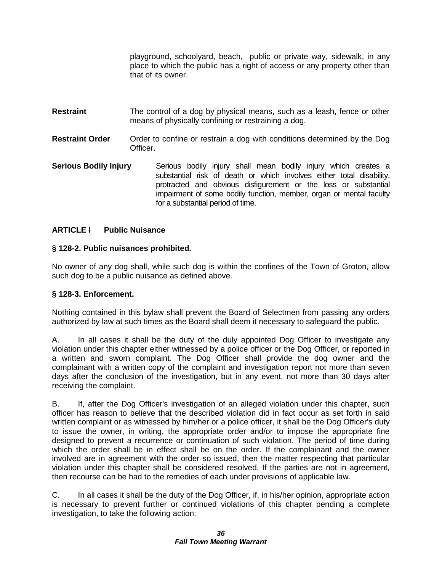playground, schoolyard, beach, public or private way, sidewalk, in any place to which the public has a right of access or any property other than that of its owner.

- **Restraint** The control of a dog by physical means, such as a leash, fence or other means of physically confining or restraining a dog.
- **Restraint Order** Order to confine or restrain a dog with conditions determined by the Dog Officer.
- **Serious Bodily Injury** Serious bodily injury shall mean bodily injury which creates a substantial risk of death or which involves either total disability, protracted and obvious disfigurement or the loss or substantial impairment of some bodily function, member, organ or mental faculty for a substantial period of time.

# **ARTICLE I Public Nuisance**

# **§ 128-2. Public nuisances prohibited.**

No owner of any dog shall, while such dog is within the confines of the Town of Groton, allow such dog to be a public nuisance as defined above.

# **§ 128-3. Enforcement.**

Nothing contained in this bylaw shall prevent the Board of Selectmen from passing any orders authorized by law at such times as the Board shall deem it necessary to safeguard the public.

A. In all cases it shall be the duty of the duly appointed Dog Officer to investigate any violation under this chapter either witnessed by a police officer or the Dog Officer, or reported in a written and sworn complaint. The Dog Officer shall provide the dog owner and the complainant with a written copy of the complaint and investigation report not more than seven days after the conclusion of the investigation, but in any event, not more than 30 days after receiving the complaint.

B. If, after the Dog Officer's investigation of an alleged violation under this chapter, such officer has reason to believe that the described violation did in fact occur as set forth in said written complaint or as witnessed by him/her or a police officer, it shall be the Dog Officer's duty to issue the owner, in writing, the appropriate order and/or to impose the appropriate fine designed to prevent a recurrence or continuation of such violation. The period of time during which the order shall be in effect shall be on the order. If the complainant and the owner involved are in agreement with the order so issued, then the matter respecting that particular violation under this chapter shall be considered resolved. If the parties are not in agreement, then recourse can be had to the remedies of each under provisions of applicable law.

C. In all cases it shall be the duty of the Dog Officer, if, in his/her opinion, appropriate action is necessary to prevent further or continued violations of this chapter pending a complete investigation, to take the following action: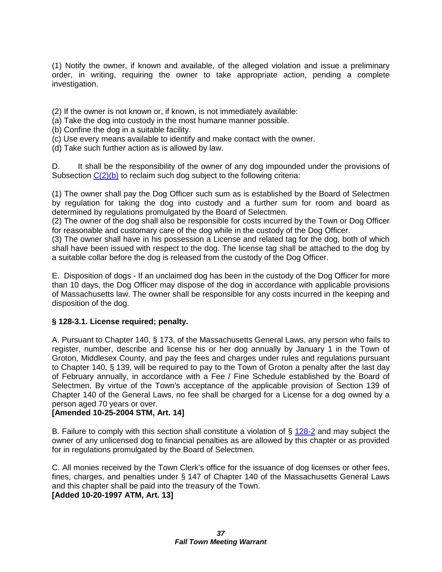(1) Notify the owner, if known and available, of the alleged violation and issue a preliminary order, in writing, requiring the owner to take appropriate action, pending a complete investigation.

(2) If the owner is not known or, if known, is not immediately available:

- (a) Take the dog into custody in the most humane manner possible.
- (b) Confine the dog in a suitable facility.
- (c) Use every means available to identify and make contact with the owner.
- (d) Take such further action as is allowed by law.

D. It shall be the responsibility of the owner of any dog impounded under the provisions of Subsection  $C(2)(b)$  to reclaim such dog subject to the following criteria:

(1) The owner shall pay the Dog Officer such sum as is established by the Board of Selectmen by regulation for taking the dog into custody and a further sum for room and board as determined by regulations promulgated by the Board of Selectmen.

(2) The owner of the dog shall also be responsible for costs incurred by the Town or Dog Officer for reasonable and customary care of the dog while in the custody of the Dog Officer.

(3) The owner shall have in his possession a License and related tag for the dog, both of which shall have been issued with respect to the dog. The license tag shall be attached to the dog by a suitable collar before the dog is released from the custody of the Dog Officer.

E. Disposition of dogs - If an unclaimed dog has been in the custody of the Dog Officer for more than 10 days, the Dog Officer may dispose of the dog in accordance with applicable provisions of Massachusetts law. The owner shall be responsible for any costs incurred in the keeping and disposition of the dog.

# **§ 128-3.1. License required; penalty.**

A. Pursuant to Chapter 140, § 173, of the Massachusetts General Laws, any person who fails to register, number, describe and license his or her dog annually by January 1 in the Town of Groton, Middlesex County, and pay the fees and charges under rules and regulations pursuant to Chapter 140, § 139, will be required to pay to the Town of Groton a penalty after the last day of February annually, in accordance with a Fee / Fine Schedule established by the Board of Selectmen. By virtue of the Town's acceptance of the applicable provision of Section 139 of Chapter 140 of the General Laws, no fee shall be charged for a License for a dog owned by a person aged 70 years or over.

# **[Amended 10-25-2004 STM, Art. 14]**

B. Failure to comply with this section shall constitute a violation of  $\S$  [128-2](http://www.ecode360.com/ecode3-back/getSimple.jsp?guid=9077782#9077782) and may subject the owner of any unlicensed dog to financial penalties as are allowed by this chapter or as provided for in regulations promulgated by the Board of Selectmen.

C. All monies received by the Town Clerk's office for the issuance of dog licenses or other fees, fines, charges, and penalties under § 147 of Chapter 140 of the Massachusetts General Laws and this chapter shall be paid into the treasury of the Town.

**[Added 10-20-1997 ATM, Art. 13]**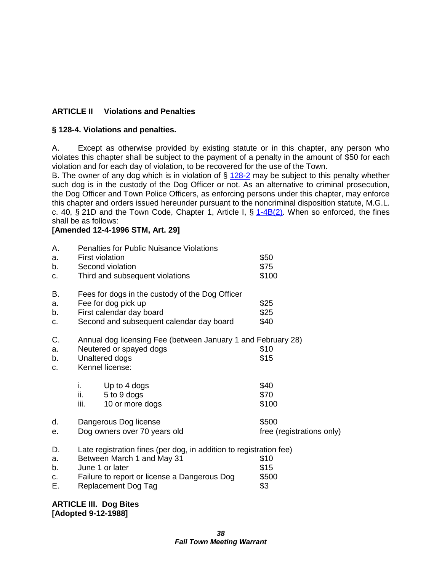# **ARTICLE II Violations and Penalties**

# **§ 128-4. Violations and penalties.**

A. Except as otherwise provided by existing statute or in this chapter, any person who violates this chapter shall be subject to the payment of a penalty in the amount of \$50 for each violation and for each day of violation, to be recovered for the use of the Town.

B. The owner of any dog which is in violation of  $\S$  [128-2](http://www.ecode360.com/ecode3-back/getSimple.jsp?guid=9077782#9077782) may be subject to this penalty whether such dog is in the custody of the Dog Officer or not. As an alternative to criminal prosecution, the Dog Officer and Town Police Officers, as enforcing persons under this chapter, may enforce this chapter and orders issued hereunder pursuant to the noncriminal disposition statute, M.G.L. c. 40, § 21D and the Town Code, Chapter 1, Article I, §  $1-4B(2)$ . When so enforced, the fines shall be as follows:

#### **[Amended 12-4-1996 STM, Art. 29]**

| Α.<br>a.<br>b.<br>c.       | <b>First violation</b>                                                                                                                                                                                                            | <b>Penalties for Public Nuisance Violations</b><br>Second violation<br>Third and subsequent violations                                         | \$50<br>\$75<br>\$100 |
|----------------------------|-----------------------------------------------------------------------------------------------------------------------------------------------------------------------------------------------------------------------------------|------------------------------------------------------------------------------------------------------------------------------------------------|-----------------------|
| В.<br>a.<br>b.<br>C.       |                                                                                                                                                                                                                                   | Fees for dogs in the custody of the Dog Officer<br>Fee for dog pick up<br>First calendar day board<br>Second and subsequent calendar day board | \$25<br>\$25<br>\$40  |
| C.<br>a.<br>b.<br>C.       |                                                                                                                                                                                                                                   | Annual dog licensing Fee (between January 1 and February 28)<br>Neutered or spayed dogs<br>Unaltered dogs<br>Kennel license:                   | \$10<br>\$15          |
|                            | i.<br>ii.<br>iii.                                                                                                                                                                                                                 | Up to 4 dogs<br>5 to 9 dogs<br>10 or more dogs                                                                                                 | \$40<br>\$70<br>\$100 |
| d.<br>е.                   | \$500<br>Dangerous Dog license<br>Dog owners over 70 years old<br>free (registrations only)                                                                                                                                       |                                                                                                                                                |                       |
| D.<br>a.<br>b.<br>c.<br>Е. | Late registration fines (per dog, in addition to registration fee)<br>Between March 1 and May 31<br>\$10<br>June 1 or later<br>\$15<br>\$500<br>Failure to report or license a Dangerous Dog<br>\$3<br><b>Replacement Dog Tag</b> |                                                                                                                                                |                       |

**ARTICLE III. Dog Bites [Adopted 9-12-1988]**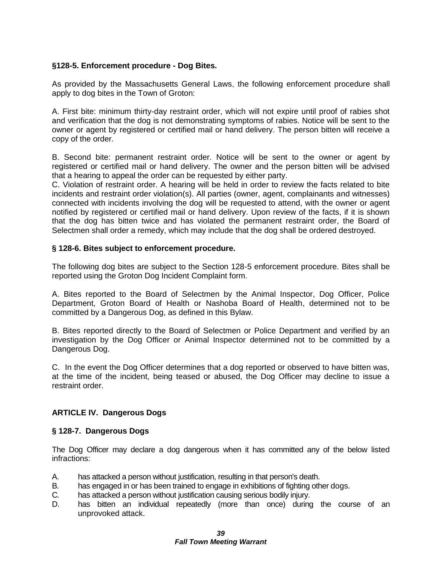# **§128-5. Enforcement procedure - Dog Bites.**

As provided by the Massachusetts General Laws, the following enforcement procedure shall apply to dog bites in the Town of Groton:

A. First bite: minimum thirty-day restraint order, which will not expire until proof of rabies shot and verification that the dog is not demonstrating symptoms of rabies. Notice will be sent to the owner or agent by registered or certified mail or hand delivery. The person bitten will receive a copy of the order.

B. Second bite: permanent restraint order. Notice will be sent to the owner or agent by registered or certified mail or hand delivery. The owner and the person bitten will be advised that a hearing to appeal the order can be requested by either party.

C. Violation of restraint order. A hearing will be held in order to review the facts related to bite incidents and restraint order violation(s). All parties (owner, agent, complainants and witnesses) connected with incidents involving the dog will be requested to attend, with the owner or agent notified by registered or certified mail or hand delivery. Upon review of the facts, if it is shown that the dog has bitten twice and has violated the permanent restraint order, the Board of Selectmen shall order a remedy, which may include that the dog shall be ordered destroyed.

#### **§ 128-6. Bites subject to enforcement procedure.**

The following dog bites are subject to the Section 128-5 enforcement procedure. Bites shall be reported using the Groton Dog Incident Complaint form.

A. Bites reported to the Board of Selectmen by the Animal Inspector, Dog Officer, Police Department, Groton Board of Health or Nashoba Board of Health, determined not to be committed by a Dangerous Dog, as defined in this Bylaw.

B. Bites reported directly to the Board of Selectmen or Police Department and verified by an investigation by the Dog Officer or Animal Inspector determined not to be committed by a Dangerous Dog.

C. In the event the Dog Officer determines that a dog reported or observed to have bitten was, at the time of the incident, being teased or abused, the Dog Officer may decline to issue a restraint order.

# **ARTICLE IV. Dangerous Dogs**

#### **§ 128-7. Dangerous Dogs**

The Dog Officer may declare a dog dangerous when it has committed any of the below listed infractions:

- A. has attacked a person without justification, resulting in that person's death.
- B. has engaged in or has been trained to engage in exhibitions of fighting other dogs.
- C. has attacked a person without justification causing serious bodily injury.
- D. has bitten an individual repeatedly (more than once) during the course of an unprovoked attack.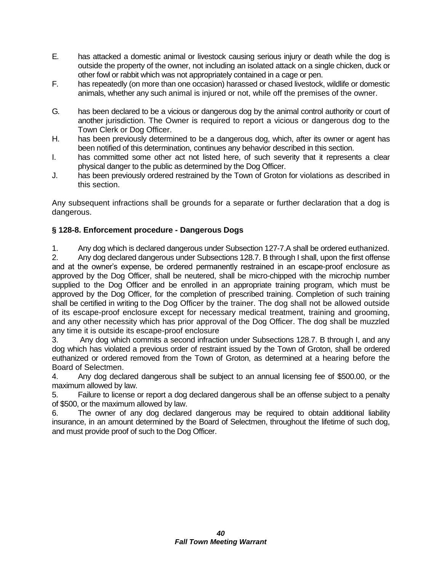- E. has attacked a domestic animal or livestock causing serious injury or death while the dog is outside the property of the owner, not including an isolated attack on a single chicken, duck or other fowl or rabbit which was not appropriately contained in a cage or pen.
- F. has repeatedly (on more than one occasion) harassed or chased livestock, wildlife or domestic animals, whether any such animal is injured or not, while off the premises of the owner.
- G. has been declared to be a vicious or dangerous dog by the animal control authority or court of another jurisdiction. The Owner is required to report a vicious or dangerous dog to the Town Clerk or Dog Officer.
- H. has been previously determined to be a dangerous dog, which, after its owner or agent has been notified of this determination, continues any behavior described in this section.
- I. has committed some other act not listed here, of such severity that it represents a clear physical danger to the public as determined by the Dog Officer.
- J. has been previously ordered restrained by the Town of Groton for violations as described in this section.

Any subsequent infractions shall be grounds for a separate or further declaration that a dog is dangerous.

# **§ 128-8. Enforcement procedure - Dangerous Dogs**

1. Any dog which is declared dangerous under Subsection 127-7.A shall be ordered euthanized.

2. Any dog declared dangerous under Subsections 128.7. B through I shall, upon the first offense and at the owner's expense, be ordered permanently restrained in an escape-proof enclosure as approved by the Dog Officer, shall be neutered, shall be micro-chipped with the microchip number supplied to the Dog Officer and be enrolled in an appropriate training program, which must be approved by the Dog Officer, for the completion of prescribed training. Completion of such training shall be certified in writing to the Dog Officer by the trainer. The dog shall not be allowed outside of its escape-proof enclosure except for necessary medical treatment, training and grooming, and any other necessity which has prior approval of the Dog Officer. The dog shall be muzzled any time it is outside its escape-proof enclosure

3. Any dog which commits a second infraction under Subsections 128.7. B through I, and any dog which has violated a previous order of restraint issued by the Town of Groton, shall be ordered euthanized or ordered removed from the Town of Groton, as determined at a hearing before the Board of Selectmen.

4. Any dog declared dangerous shall be subject to an annual licensing fee of \$500.00, or the maximum allowed by law.

5. Failure to license or report a dog declared dangerous shall be an offense subject to a penalty of \$500, or the maximum allowed by law.

6. The owner of any dog declared dangerous may be required to obtain additional liability insurance, in an amount determined by the Board of Selectmen, throughout the lifetime of such dog, and must provide proof of such to the Dog Officer.